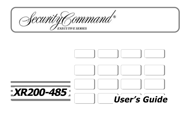SecurityCommand® **EXECUTIVE SERIES** 

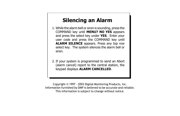## **Silencing an Alarm**

- 1. While the alarm bell or siren is sounding, press the COMMAND key until **MENU? NO YES** appears and press the select key under **YES**. Enter your user code and press the COMMAND key until **ALARM SILENCE** appears. Press any top row select key. The system silences the alarm bell or siren.
- 2. If your system is programmed to send an Abort (alarm cancel) report to the central station, the keypad displays **ALARM CANCELLED**.

Copyright © 1997 - 2003 Digital Monitoring Products, Inc. Information furnished by DMP is believed to be accurate and reliable. This information is subject to change without notice.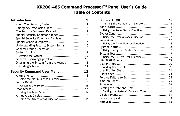## **XR200-485 Command ProcessorTM Panel User's Guide Table of Contents**

| Special Security Command Tones  4        |  |
|------------------------------------------|--|
| Special Security Command Displays  4     |  |
|                                          |  |
| Understanding Security System Terms  6   |  |
|                                          |  |
|                                          |  |
|                                          |  |
|                                          |  |
| Disarming the System from the keypad  11 |  |
|                                          |  |
| Security Command User Menu  12           |  |
|                                          |  |
| Using the Alarm Silence Function  13     |  |
|                                          |  |
|                                          |  |
|                                          |  |
|                                          |  |
|                                          |  |
| Using the Armed Areas Function  14       |  |

| Turning the Outputs ON and OFF  15    |  |
|---------------------------------------|--|
|                                       |  |
| Using the Zone Status Function  16    |  |
|                                       |  |
| Using the Bypass Zones Function  17   |  |
|                                       |  |
| Using the Zone Monitor Function  18   |  |
|                                       |  |
| Using the System Status Function  18  |  |
|                                       |  |
| Using the System Test Function 19     |  |
|                                       |  |
|                                       |  |
|                                       |  |
|                                       |  |
|                                       |  |
|                                       |  |
|                                       |  |
|                                       |  |
| Setting the Date and Time 31          |  |
| Setting the System's Date and Time 31 |  |
|                                       |  |
|                                       |  |
|                                       |  |
|                                       |  |

Outputs On Off ............................................ 15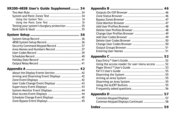## **XR200-485B Userís Guide Supplement ........ 34**

| System and Panic Zones Test  34               |  |
|-----------------------------------------------|--|
|                                               |  |
|                                               |  |
| Testing your system's burglary protection  35 |  |
|                                               |  |
|                                               |  |

## **System Setup ................................................ 36** System Setup Record ...................................... 36

| Security Command Keypad Record  37 |  |
|------------------------------------|--|
|                                    |  |
|                                    |  |
|                                    |  |
|                                    |  |
|                                    |  |

## **Appendix A .................................................... 42**

| About the Display Events Section  42    |  |
|-----------------------------------------|--|
| Arming and Disarming Event Displays  42 |  |
|                                         |  |
| User Code Change Event Displays  43     |  |
| Supervisory Event Displays  43          |  |
| System Monitor Event Displays 44        |  |
| Door Access Event Displays  44          |  |
| Schedule Change Event Displays  45      |  |
| Zone Bypass Event Displays  45          |  |
|                                         |  |

| Delete User Profiles Browser 48                  |  |
|--------------------------------------------------|--|
| Change User Profiles Browser  49                 |  |
|                                                  |  |
| Delete User Codes Browser  50                    |  |
| Change User Codes Browser  50                    |  |
|                                                  |  |
|                                                  |  |
|                                                  |  |
|                                                  |  |
| Using the access reader for user menu access  52 |  |
| Pager Direct <sup>™</sup> User's Guide  53       |  |
|                                                  |  |
|                                                  |  |
|                                                  |  |
|                                                  |  |
|                                                  |  |
|                                                  |  |
|                                                  |  |
| Frequently asked questions  56                   |  |
|                                                  |  |
|                                                  |  |
| Common Keypad Displays Continued  58             |  |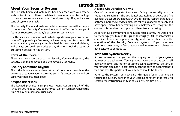## **Introduction**

## **About Your Security System**

The Security Command system has been designed with your safety and comfort in mind. It uses the latest in computer based technology to create the most advanced, user friendly security, fire, and access control system available.

The Security Command system combines ease of use with a simple to understand Security Command keypad to offer the full range of features requested by today's security system owners.

Use the Security Command system to turn portions of your protection on or off by pressing a few keys, or have the system turn on or off automatically by entering a simple schedule. You can add, delete, and change personal user codes at any time or check the status of protection devices in the system.

## **Parts of the System**

There are two main parts to the Security Command system, the Security Command keypad and the keypad User Menu.

## **Security Command Keypad**

This is the device we have placed at certain locations throughout the premises that allow you to turn the system's protection on and off using your personal user code.

## **Keypad User Menu**

The keypad provides a simple User Menu containing all of the functions you need to fully operate your system such as changing the time of day or a personal user code.

## **A Note About False Alarms**

One of the most important concerns facing the security industry today is false alarms. The accidental dispatching of police and fire agencies places others in jeopardy by limiting the response capability of those emergency service units. We take this concern seriously and have spent many hours training our employees to recognize the causes of false alarms and prevent them from occurring.

As part of our commitment to reducing false alarms, we would like to encourage you to read this guide thoroughly. All the information contained here can help you quickly, and comfortably, learn the operation of the Security Command system. If you have any additional questions, or feel that you need more training, please do not hesitate to contact us.

## **Test Your System Weekly**

It is recommended that you test the burglary portion of your system at least once each week. Testing should involve an active test of all doors, windows, and motion detectors connected to your system. If your system also has fire protection, call the service department to find out how this portion of your system should be tested.

Refer to the System Test section of this guide for instructions on testing the burglary portion of your system and refer to the Fire Drill section for instructions on testing your system fire bells.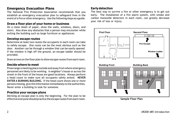## **Emergency Evacuation Plans**

The National Fire Protection Association recommends that you establish an emergency evacuation plan to safeguard lives in the event of a fire or other emergency. Use the following steps as a guide.

## **Draw a floor plan of your home or business**

On a clean sheet of paper, draw the walls, windows, doors, and stairs. Also draw any obstacles that a person may encounter while exiting the building such as large furniture or appliances.

## **Develop escape routes**

Determine at least two routes the occupants in each room can take to safely escape. One route can be the most obvious such as the door. Another can be through a window that can be easily opened. If the window is high off the ground, an escape ladder should be provided.

Draw arrows on the floor plan to show escape routes from each room.

## **Decide where to meet**

Prearrange a meeting place outside and away from where emergency personnel are likely to be working. A neighbor's house or across the street in the front of the house are good locations. Always perform a head count to make sure all occupants safely exited. **NEVER ENTER A BURNING BUILDING.** If the head count shows one or more persons missing, give this information immediately to the authorities. Never enter a building to look for someone.

## **Practice your escape plans**

Devising an escape plan is only the beginning. For the plan to be effective everyone should practice the escape routes from each room.

## **Early detection**

The best way to survive a fire or other emergency is to get out early. The installation of a fire alarm system, with smoke and carbon monoxide detectors in each room, can greatly decrease your risk of loss or injury.



**Sample Floor Plan**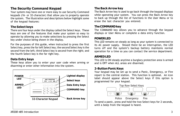## **The Security Command Keypad**

Your system may have one or more easy to use Security Command keypads (16- or 32-character) that allow you to properly operate the system. The illustration and descriptions below highlight some of the keypad features:

## **The Select keys**

There are four keys under the display called the Select keys. These keys are one of the features that make your system so easy to operate by allowing you to make selections by pressing the Select key under choice being shown in the display.

For the purposes of this guide, when instructed to press the first Select key, press the far left Select key; the second Select key is the second from the left; third Select key is second from the right; and the fourth Select key is the far right key.

## **Data Entry keys**

These keys allow you to enter your user code when arming or disarming or enter other information into the system.



## **The Back Arrow key**

The Back Arrow key is used to go back through the keypad displays while operating your system. You can press the Back Arrow key to back up through the list of functions in the User Menu or to erase the last character you entered.

## **The COMMAND key**

The COMMAND key allows you to advance through the keypad displays or User Menu or complete a data entry function.

## **POWER LED**

This LED remains on steady as long as your system is connected to its AC power supply. Should there be an interruption, the LED turns off and the system's backup battery maintains normal operation for a time so you can contact the service department.

## **ARMED LED**

This LED is ON steady anytime a burglary protection area is armed and is OFF when ALL areas are disarmed.

## **2-Button Panic Keys**

Your keypad may be set up to send a Panic, Emergency, or Fire report to the central station. This function is optional. An icon label should appear above the Select keys if this option is programmed for your keypad.



Polic Emergency **Fire** 

To send a panic, press and hold the two Select keys for 2 seconds, until a beep from the keypad is heard.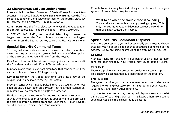## **32-Character Keypad User Options Menu**

Press and hold the Back Arrow and COMMAND keys for about two seconds. The keypad display shows **SET BRIGHTNESS**. Use the first Select key to lower the display brightness or the fourth Select key to increase the brightness. Press COMMAND.

At **SET TONE**, use the first Select key to lower the keypad tone or the fourth Select key to raise the tone. Press COMMAND.

At **SET VOLUME LEVEL**, use the first Select key to lower the keypad volume or the fourth Select key to raise the keypad volume. Press the Back Arrow key to exit the User Options menu.

## **Special Security Command Tones**

Your keypad also contains a small speaker that alerts you about events as they occur on your system. Below are brief descriptions of the different tones you will hear from the keypad:

**Fire Alarm tone:** An intermittent sweeping siren that sounds until the fire alarm is silenced. From LCD keypads only.

**Burglary Alarm tone:** A constant siren tone that continues until the alarm is silenced. From LCD keypads only.

**Key press tone:** A short beep each time you press a key on the keypad and it's acknowledged by the system.

**Prewarn tone:** A continuous pulsed tone that sounds when you open an entry delay door on a system that is armed (turned on) reminding you to disarm the burglary protection.

**Monitor tone:** A pulsed tone for one second, one pulse only that sounds whenever a door or window is opened while you are using the zone monitor function from the User Menu. LCD keypads sound a doorbell chime. See Zone Monitor.

**Trouble tone:** A steady tone indicating a trouble condition on your system. Press a Select key to silence.

**What to do when the trouble tone is sounding** You can silence the trouble tone by pressing any key. This only silences the keypad and does not correct the condition that originally caused the trouble.

## **Special Security Command Displays**

As you use your system, you will occasionally see a keypad display that asks you to enter a code or that describes a condition on the system. Below are some examples of the displays you will see:

## **ALARM**

A 24-hour zone (for example fire or panic) or an armed burglary zone has been tripped. Your system may sound bells or sirens.

## **TROUBLE**

There is a problem with a protection device or system component. This display is accompanied by a description of the problem.

## **ENTER CODE**

The system requires you to enter your user code. User codes can be required for turning your system on (arming), turning your system off (disarming), and many other functions.

As you enter your user code, the keypad display shows an asterisk (\*) in place of each digit pressed. This keeps others from seeing your user code on the display as it's entered.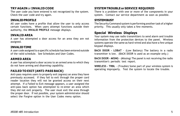## **TRY AGAIN** or **INVALID CODE**

The user code you have entered is not recognized by the system. Check the user code and try again.

## **INVALID PROFILE**

All user codes have a profile that allow the user to only access certain functions. When users attempt functions outside their authority, the **INVALID PROFILE** message displays.

## **INVALID AREA**

A user has attempted a door access for an area they are not assigned.

## **INVALID TIME**

A user code assigned to a specific schedule has been entered outside of the valid schedule. See Schedules and User Codes.

## **ARMED AREA**

A user has attempted a door access to an armed area to which they do not have arming and disarming capability.

## **FAILED TO EXIT (ANTI-PASS BACK)**

Anti-pass requires users to properly exit (egress) an area they have previously accessed. If they fail to exit through the proper card reader location they will not be granted access on their next attempt. If a Failed to Exit message appears, a user assigned the anti-pass back option has attempted to re-enter an area which they did not exit properly. The user must exit the area through the proper door. If not possible, your system administrator should select the Forgive option in the User Codes menu option.

## **SYSTEM TROUBLE or SERVICE REQUIRED**

There is a problem with one or more of the components in your system. Contact our service department as soon as possible.

## **SYSTEM BUSY**

The Security Command system is performing another task of a higher priority. This usually only takes a few moments.

## **Special Wireless Displays**

Your system may use radio transmitters to send alarm and trouble information from the protection devices to the panel. Wireless systems operate the same as hard-wired and also have a few unique keypad displays.

**BACK DOOR - LOBAT** - (Low Battery) The battery in a radio transmitter is low. (BACK DOOR is used as an example only.)

**BACK DOOR - MISNG** - (Missing) The panel is not receiving the radio transmitter's periodic test report.

**WIRELESS - TRBL** - (Trouble) Some part of your wireless system is operating improperly. Test the system to locate the trouble.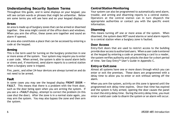## **Understanding Security System Terms**

Throughout this guide, and in some displays on your keypad, you will see certain words or phrases that might be unfamiliar. Below are some terms you will see here and on your keypad display:

## **Areas**

An area is made up of burglary zones that can be armed or disarmed together. One area might consist of the office doors and windows. When you arm the office, these zones arm together and sound an alarm if opened.

An area also constitutes a place that can be accessed by entering a code at the keypad.

## **Arming**

This is the term used for turning on the burglary protection in one or more areas of the system. Your system may require you to enter a user code. When armed, the system is able to sound alarm bells or sirens and, if monitored, send alarm reports to a central station when a burglary zone is tripped.

Fire, panic, and other 24-hour devices are always turned on and do not need to be armed.

## **Fault**

In some cases you may see the keypad display **FRONT DOOR** – **FAULT**. This means that there is a problem with the front door, such as the door being open when you are arming the system. If you see a **-FAULT** display, attempt to correct the problem (in this case shut the door). After the zone is in a normal state again, you may arm the system. You may also bypass the zone and then arm the system.

## **Central Station Monitoring**

Your system can also be programmed to automatically send alarm, trouble, and arming and disarming reports to a central station. Operators at the central station can in turn dispatch the appropriate authorities or contact you with the specific event information.

## **Disarming**

This means turning off one or more areas of the system. When disarmed, the system does NOT sound alarms or send alarm reports to a central station when a burglary zone is faulted.

## **Door Access**

Entry/Exit doors that are used to restrict access to the building provide door access to authorized users. When a user code is entered at the keypad by entering a code or presenting a card to a reader, the system verifies authority and unlocks the door for a short period of time. See Easy Entry™ User's Guide in Appendix C.

## **Entry or Exit zone**

Almost all systems have one or more doors through which you can enter or exit the premises. These doors are programmed with a delay time to allow you to enter or exit without setting off the alarm.

When you arm the system, activity on this zone is ignored until the programmed exit delay time expires. Once that time has expired and the system is fully armed, opening the door causes the panel to start the *entry* delay time. During the entry delay time, you must enter a valid user code to disarm the system or an alarm will occur.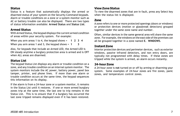## **Status**

Status is a feature that automatically displays the armed or disarmed status of your system on the Security Command keypads. Alarm or trouble conditions on a zone or a system monitor such as AC or battery trouble can also be displayed. There are two types of status information available: **Armed Status** and **Status List**.

## **Armed Status**

With Armed Status, the keypad displays the current armed condition of areas within your security system. For example:

When you arm areas 1 to 4, the keypad shows = **1234** When you arm areas 1 and 3, the keypad shows = **1 3**

Also, for keypads that include an Armed LED, the Armed LED is ON steady anytime a burglary protection area is armed and is OFF when ALL areas are disarmed.

## **Status List**

The keypad Status List displays any alarm or trouble condition on a zone, and any trouble condition on an internal system monitor. The system monitors include the AC power, battery power, panel box tamper, printer, and phone lines. If more than one alarm or trouble condition occurs at the same time, the keypad sequences this information on its display.

If the alarm is from a 24-hour zone or a system monitor, it remains in the Status List until it restores. If one or more armed burglary zones trip at the same time, the last one to trip remains in the Status List. This is to ensure that if a burglary has occurred the last zone tripped remains displayed even if it has been restored.

## **View Zone Status**

To view the disarmed zones that are in fault, press any Select key when the status list is displayed.

## **Zone**

A zone refers to one or more protected openings (doors or windows) or protection devices (motion or glassbreak detectors) grouped together under the same zone name and number.

Often, similar devices in the same general area will share the same zone. For example, the windows on the east side of the premises can all be grouped together in a zone named **E. WINDOWS**.

## **Instant Zone**

Interior protection devices and perimeter devices, such as exterior windows, passive infrared detectors, and non entry doors, are typically not programmed with delay times. If these zones are tripped while the system is armed, an alarm occurs instantly.

## **24-hour Zone**

A 24-hour zone is **not** turned on or off by arming or disarming your system. Some examples of 24-hour zones are fire zones, panic zones, and temperature control zones.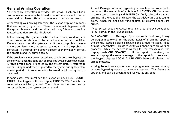## **General Arming Operation**

Your burglary protection is divided into areas. Each area has a custom name. Areas can be turned on or off independent of other areas and can have different schedules and authorized users.

After making your arming selection, the keypad displays any zones that are currently bypassed. These zones remain bypassed until the system is armed and then disarmed. Any 24-hour zones in a faulted condition are also displayed.

Before arming, the system verifies that all doors, windows, and other protection devices to be armed are in normal condition. If everything is okay, the system arms. If there is a problem on one or more burglary zones, the system cannot arm until the problem is corrected. If the problem is simply an open door or window, correct the problem and try arming again.

If the problem cannot be corrected, you can force arm or bypass the zone or wait until the zone can be repaired by a service technician. A **force armed** zone is ignored by the system until it restores to normal. A **bypassed** zone is ignored by the system during the entire armed period. A zone remains bypassed until the system is disarmed.

In some cases, you might see the keypad display **FRONT DOOR** – **FAULT**. The keypad will then display **PRIORITY ZONE** which is a zone that cannot be bypassed. The problem on the zone must be corrected before the system can be armed.

**Armed Message:** After all bypassing is completed or zone faults corrected, the keypad briefly displays **ALL SYSTEM ON** if all areas in the system are arming and **SYSTEM ON** if only selected areas are arming. The keypad then displays the exit delay time as it counts down. When the exit delay time expires, all disarmed zones are armed.

If your system uses a keyswitch to arm an area, the exit delay time is NOT shown on the keypad display.

**ONE MOMENT . . . Message:** If your system is monitored, it may be programmed to wait for the transmission of an arming report to the central station before displaying the armed message. (See Arming Report below.) This is to verify your phone lines are working properly. While the system is waiting for the transmission, the display reads **ONE MOMENT...**. If the report is received, the keypad displays the armed message. If the report is not received, the keypad displays **LOCAL ALARM ONLY** before displaying the armed message.

**Arming Report**: Your system can be programmed to send arming or zone bypassing reports to a central station. This feature is optional and can be programmed for you at any time.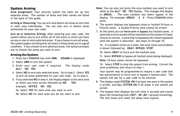## **System Arming**

**Area Assignment:** Your security system has been set up into separate areas. The number of areas and their names are listed in the back of this guide.

**Arming or Disarming:** You can arm and disarm all areas at one time or each area individually. You can only arm or disarm areas authorized for your user code.

**Arm all or Selective Arming:** After entering your user code, the system allows you to arm either all of the areas to which you have access or one or more selected areas. If you choose to arm all areas, the system begins verifying that all zones in those areas are in a good condition. If you choose to arm selected areas, the system prompts you to choose the areas you want to arm.

## **Arming the System**

- 1. Press the COMMAND key until **ARM DISARM** is displayed.
- 2. Select **ARM** to arm the system.
- 3. Enter your user code if required. The display reads **ALL? NO YES**.
- 4. Select **NO** to arm only selected areas. Go to step 5. Select **YES** to arm all areas authorized for your user code. Go to step 6.
- 5. If you selected **NO** in step 4, the display begins to list each area to which you have access followed by **NO YES**. Example: **OFFICE NO YES**

5a. Select **YES** for each area you want to arm.

5b. Select **NO** for each area you do not want to arm.

- **Note:** You can also just press the area numbers you want to arm while at the **ALL? NO YES** display. This changes the display to **AREAS:** . The area numbers you select appear in the display. For example: **AREAS: 2 4** . Press COMMAND when done.
- 6. The system displays any bypassed zones or faulted 24-hour or Priority zones. A faulted Priority zone cannot be armed.
- 7. At this point you can **force arm** or **bypass** any faulted zones. A zone that is force armed will be restored into the system if it later returns to normal. A zone that is bypassed will remain bypassed until the system is disarmed. See steps 7a through 7d.

7a. If a problem exists on a zone, the zone name and problem is shown followed by: **OKAY BYPASS STOP**.

7b. Select **OKAY** to force arm the faulted zone.

7c. Select **BYPASS** to bypass all faulted zones being displayed.

**Note**: 24-hour zones cannot be bypassed.

7d. Select **STOP** to stop the system from arming. Correct the zone problem(s) and return to step 1.

Your system may be programmed to require a user code that has authorization to force arm or bypass a faulted zone. The system will ask for a user code to be entered.

- 8. The display reads **SYSTEM ON** if at least one area in the system is armed, and **ALL SYSTEM ON** if all areas in the system are armed.
- 9. The keypad then displays the exit time in seconds and counts down the remaining time: **EXIT : ##** (**##** = seconds remaining). The exit zones arm when the delay time expires.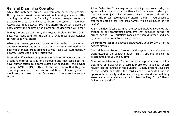## **General Disarming Operation**

While the system is armed, you can only enter the premises through an entry/exit delay door without causing an alarm. After opening the door, the Security Command keypad sounds a prewarn tone to remind you to disarm the system. (See Door Access Disarming below.) You must disarm the system before the entry delay time expires or an alarm on the door zone will occur.

During the entry delay time, the keypad displays **ENTER CODE:**. Enter your code to disarm the system. Only those areas assigned to your code will disarm.

When you present your card to an outside reader to gain access and your code has authority to disarm, those areas assigned to the door which match areas assigned to your code will automatically disarm. Enter code is not displayed.

**Schedules**: If you have programmed schedules for your system and a code is entered outside of a schedule and that code does not have authorization to disarm outside of schedules, the keypad displays **INVALID TIME.** This lets the users know that they are disarming outside of their authorized time. If your system is monitored, an Unauthorized Entry report is sent to the central station.

**All or Selective Disarming:** After entering your user code, the system allows you to disarm either all of the areas to which you have access or just selected areas. If you choose to disarm all areas, the system automatically disarms them. If you choose to disarm selected areas, the area names will be displayed on the keypad.

**Alarm Display:** After disarming, the keypad displays any zones that tripped or any transmission problems that occurred during the armed period. All burglary zones are then disarmed and any bypassed zones are automatically reset.

**Disarmed Message:** The keypad displays **ALL SYSTEM OFF** after the system disarms.

**Central Station Report:** A report of the system disarming can be transmitted to the central station. This is optional and can be programmed for you at any time.

**Door Access Disarming:** Your system may be programmed to allow disarming of areas when a card is presented to a door access reader located outside of the building. Simply present your card to the reader and after the card's code is validated for the appropriate authority, a door access is granted and your matching areas are automatically disarmed. See the Easy Entry™ User's Guide in Appendix C.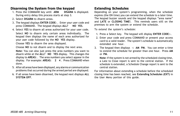## **Disarming the System from the keypad**

- 1. Press the COMMAND key until **ARM DISARM** is displayed. During entry delay this process starts at step 3.
- 2. Select **DISARM** to disarm areas.
- 3. The keypad displays **ENTER CODE:** . Enter your user code and press COMMAND. The keypad displays **ALL? NO YES**.
- 4. Select **YES** to disarm all areas authorized for your user code. Select **NO** to disarm only certain areas individually. The keypad then displays the name of each area authorized for your user code followed by the **NO YES** display.

Choose **YES** to disarm the area displayed.

Choose **NO** to not disarm and to display the next area.

**Note:** You can also just press the area numbers you want to disarm while at the **ALL? NO YES** display. This changes the display to **AREAS:** . The area numbers you select appear in the display. For example: **AREAS: 2 4** . Press COMMAND when done.

- 5. After all areas have been displayed, any alarms or communication problems that occurred during the armed period are displayed.
- 6. If all areas have been disarmed, the keypad next displays **ALL SYSTEM OFF**.

## **Extending Schedules**

Depending on your system's programming, when the schedule expires (the ON time) you can extend the schedule to a later time. The keypad buzzer sounds and the keypad displays "area name" and **LATE** or **CLOSING TIME!**. This reminds users still on the premises to arm the system or extend the schedule.

To extend the system's schedule:

- 1. Press a Select key. The keypad will display **ENTER CODE:-**.
- 2. Enter your code and press COMMAND or present your access card to a valid reader. The system's schedule is automatically extended one hour.
- 3. The keypad then displays **-: AM PM**. You can enter a time to extend the schedule for greater than one hour. Press **AM** or **PM**.

**Note:** If the system is not armed by the scheduled closing time, a Late to Close report is sent to the central station. If the schedule is extended, a Schedule Change report is sent to the central station.

For information about extending a schedule before the scheduled closing time has been reached, see **Extending Schedules (EXT)** in the User Menu portion of this guide.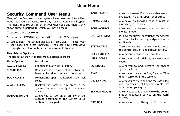## **User Menu**

|                                                                                           | <b>Security Command User Menu</b><br>Many of the features of your system have been put into a User                                                                            | <b>ZONE STATUS</b>     | Allows you to see if a zone is either armed,<br>bypassed, in alarm, open, or shorted.                             |  |  |  |
|-------------------------------------------------------------------------------------------|-------------------------------------------------------------------------------------------------------------------------------------------------------------------------------|------------------------|-------------------------------------------------------------------------------------------------------------------|--|--|--|
|                                                                                           | Menu that you can access from any Security Command keypad.<br>The menu requires you to enter your user code and then it only                                                  | <b>BYPASS ZONES</b>    | Allows you to Bypass a zone or reset an<br>already bypassed zone.                                                 |  |  |  |
| To access the User Menu:                                                                  | shows those functions to which you have access.                                                                                                                               | <b>ZONE MONITOR</b>    | Allows you to add or remove a zone from the<br>monitor mode.                                                      |  |  |  |
|                                                                                           | 1. Press the COMMAND key until MENU? NO YES displays.                                                                                                                         | <b>SYSTEM STATUS</b>   | Displays the current condition of the system's<br>AC power, backup battery, and panel tamper                      |  |  |  |
|                                                                                           | 2. Select YES. The keypad displays ENTER CODE: -. Enter your<br>user code and press COMMAND. You can now scroll down<br>through the list of system features available to you. | <b>SYSTEM TEST</b>     | (optional).<br>Tests the system's siren, communication to<br>the central station, and backup battery.             |  |  |  |
| <b>User Menu Options</b>                                                                  |                                                                                                                                                                               | <b>USER PROFILES</b>   | Allows you to change user profiles.                                                                               |  |  |  |
| The list below shows the User Menu options in order:<br><b>Menu Option</b><br>Description |                                                                                                                                                                               | <b>USER CODES</b>      | Allows you to add, delete, or change user<br>codes.                                                               |  |  |  |
| <b>ALARM SILENCE</b>                                                                      | Silences an alarm bell or siren.                                                                                                                                              | <b>SCHEDULES</b>       | Allows you to add, remove, or change<br>system schedules.<br>Allows you change the Day, Date, or Time             |  |  |  |
| <b>SENSOR RESET</b>                                                                       | Resets smoke or glassbreak detectors that<br>have latched due to an alarm condition.                                                                                          | <b>TIME</b>            |                                                                                                                   |  |  |  |
| <b>DOOR ACCESS</b>                                                                        | Momentarily opens the keypad's door lock                                                                                                                                      |                        | that is currently in the system.                                                                                  |  |  |  |
| <b>ARMED AREAS</b>                                                                        | relay.<br>Displays the name of any areas in the<br>system that are currently in the armed                                                                                     | <b>DISPLAY EVENTS</b>  | Allows you to view or print the last 1,000<br>door accesses or 200 system events that<br>occurred on your system. |  |  |  |
|                                                                                           | state.<br>Allows you to turn on or off any of the<br>outputs described in the System Setup                                                                                    | <b>SERVICE REQUEST</b> | Allows you to send a message to the Central                                                                       |  |  |  |
| <b>OUTPUTS ON/OFF</b>                                                                     |                                                                                                                                                                               |                        | Station requesting service on the alarm<br>system.                                                                |  |  |  |
|                                                                                           | section of this guide.                                                                                                                                                        | <b>FIRE DRILL</b>      | Allows you to test the system's fire bells.                                                                       |  |  |  |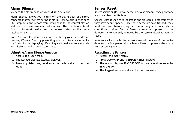## **Alarm Silence**

Silences the alarm bells or sirens during an alarm.

Alarm Silence allows you to turn off the alarm bells and sirens connected to your system during an alarm. Using Alarm Silence does NOT stop an alarm report from being sent to the central station and does not reset any alarmed devices. Use the Sensor Reset function to reset devices such as smoke detectors that have latched in alarm.

**Note**: You can also silence an alarm by entering your user code and pressing COMMAND or by presenting your card to a reader while the Status List is displaying. Matching areas assigned to your code are disarmed and a door access occurs.

## **Using the Alarm Silence Function**

- 1. Access the User Menu.
- 2. The keypad displays **ALARM SILENCE?**.
- 3. Press any Select key to silence the bells and exit the User Menu.

## **Sensor Reset**

Resets smoke or glassbreak detectors. Also clears Fire/Supervisory alarm and trouble displays.

Sensor Reset is used to reset smoke and glassbreak detectors after they have been tripped. Once these detectors have tripped, they must be reset before they can detect any additional alarm conditions. When Sensor Reset is selected, power to the detectors is temporarily removed by the system allowing them to reset.

Make sure all smoke is cleared from around the area of the smoke detectors before performing a Sensor Reset to prevent the alarm from occurring again.

## **Resetting the Sensors**

- 1. Access the User Menu.
- 2. Press COMMAND until **SENSOR RESET** displays.
- 3. The keypad displays **SENSORS OFF** for five seconds followed by **SENSORS ON**.
- 4. The keypad automatically exits the User Menu.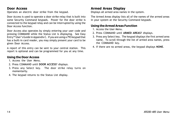## **Door Access**

Operates an electric door strike from the keypad.

Door Access is used to operate a door strike relay that is built into some Security Command keypads. Power for the door strike is connected to the keypad relay and can be interrupted by using the Door Access function.

Door Access also operates by simply entering your user code and pressing COMMAND while the Status List is displaying. See Easy Entry<sup>TM</sup> User's Guide in Appendix C. If you are using a 793 keypad that has a built-in card reader, you may simply present your card to be given Door Access.

A report of this entry can be sent to your central station. This report is optional and can be programmed for you at any time.

## **Using the Door Access**

- 1. Access the User Menu.
- 2. Press COMMAND until **DOOR ACCESS?** displays.
- 3. Press any Select key. The door strike relay turns on momentarily.
- 4. The keypad returns to the Status List display.

## **Armed Areas Display**

Displays all armed area names in the system.

The Armed Areas display lists all of the names of the armed areas in your system at the Security Command keypads.

## **Using the Armed Areas Function**

- 1. Access the User Menu.
- 2. Press COMMAND until **ARMED AREAS?** displays.
- 3. Press any Select key. The keypad displays the first armed area name. To scroll through the list of armed area names, press the COMMAND key.
- 4. If there are no armed areas, the keypad displays **NONE**.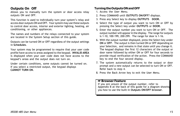## **Outputs On Off**

Allows you to manually turn the system or door access relay outputs ON and OFF.

This function is used to individually turn your system's relay and access door outputs ON and OFF. Your system may use these outputs to control door access, interior and exterior lighting, heating, air conditioning, or other appliances.

The names and numbers of the relays connected to your system are located in the System Setup section of this guide.

Outputs can be turned ON or OFF regardless of the output settings in **Schedules**.

Your system may be programmed to require that your user code profile have access to areas assigned to the keypad. **INVALID AREA** is displayed when your user code does not have access to the keypad's areas and the output does not turn on.

Under certain conditions, some outputs cannot be turned on. If you select a restricted output, the keypad displays **CANNOT TURN ON**.

## **Turning the Outputs ON and OFF**

- 1. Access the User Menu.
- 2. Press COMMAND until **OUTPUTS ON/OFF?** displays.
- 3. Press any Select key to display **OUTPUTS DOOR.**
- 4. Select the type of output you want to turn ON or OFF by pressing the Select key under **OUTPUTS** or **DOOR**.
- 5. Enter the output number you want to turn ON or OFF. The output number will appear in the display. The range for outputs is 1-10, 100-199, 200-299. The range for door is 1-16.
- 6. With the output number displayed, press the Select key under **ON** or **OFF**. The output is then turned ON or OFF depending on your Selection, and remains in that state until you change it. The keypad displays the first 12 characters of the output or door name followed by either ON or OFF for four seconds to provide visual verification of the action. Press the COMMAND key to end the four second display.
- 7. The system automatically returns to the output or door prompt and a new output can be selected to turn ON or OFF. Refer back to step 4.
- 8. Press the Back Arrow key to exit the User Menu.

## ☞ **Browser Feature**

If you are unsure of the output number, refer to Appendix B at the back of this guide for a diagram showing you how to use the built-in **Outputs ON/OFF browser**.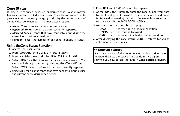## **Zone Status**

Displays a list of armed, bypassed, or alarmed zones. Also allows you to check the status of individual zones. Zone Status can be used to give you a list of zones by category or display the current status of an individual zone number. The four categories are:

- **Armed Zones** zones that are currently armed.
- ï **Bypassed Zone**s zones that are currently bypassed.
- Alarmed Zones zones that have gone into alarm during the current or previous armed period.
- **Number** enter the number of any zone to check its status.

## **Using the Zone Status Function**

- 1. Access the User Menu.
- 2. Press COMMAND until **ZONE STATUS?** displays.
- 3. Press any Select key to display **ARM BYPS ALR NBR**.
- 4. Select **ARM** for a list of zones that are currently armed. You can scroll through the list by pressing the COMMAND key.
- 5. Select **BYPS** for a list of zones that are currently bypassed.
- 6. Select **ALR** for a list of zones that have gone into alarm during the current or previous armed period.
- 7. Press **NBR** and **ZONE NO: -** will be displayed.
- 8. At the **ZONE NO**: prompt, enter the zone number you want to check and press COMMAND. The zone number and name is displayed followed by its status. For example, a zone status for zone 1 might be **BACK DOOR - OKAY**.

Below is a list of the zone status displays:

- **-OKAY** <sup>=</sup> the zone is in a normal condition
- **-BYPAS** <sup>=</sup> the zone is bypassed
- **-BAD** <sup>=</sup> the zone is in a bad or faulted condition
- 9. After displaying the zone status, **ZONE**: returns for you to enter another zone number.

## ☞ **Browser Feature**

If you are unsure of the zone number or description, refer to Appendix B at the back of this guide for a diagram showing you how to use the built-in **Zone Status browser**.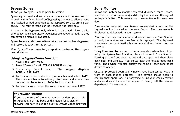## **Bypass Zones**

Allows you to bypass a zone prior to arming.

Bypassing is usually done when a zone cannot be restored to normal. A significant benefit of bypassing a zone is to allow a zone in a faulted or bad condition to be bypassed so that arming can occur. The faulted zone can be serviced the next day.

A zone can be bypassed only while it is disarmed. Fire, panic, emergency, and supervisory type zones are always armed, so they can never be manually bypassed.

Bypass Zones can also be used to reset a zone that has been bypassed and restore it back into the system.

When Bypass Zones is selected, a report can be transmitted to your central station.

## **Using the Bypass Zones Function**

- 1. Access the User Menu.
- 2. Press COMMAND until **BYPASS ZONES?** displays.
- 3. Press any Select key. The keypad displays **ZONE: - RST BYPS**.
- 4. To Bypass a zone, enter the zone number and select **BYPS**. The zone number automatically disappears and a new zone number can be entered. Refer back to step 3.
- 5. To Reset a zone, enter the zone number and select **RST**.

## ☞ **Browser Feature**

If you are unsure of the zone number or description, refer to Appendix B at the back of this guide for a diagram showing you how to use the built-in **Bypass Zones browser**.

## **Zone Monitor**

Allows the system to monitor selected disarmed zones (doors, windows, or motion detectors) and display their name at the keypad as they are faulted. This feature could be used to monitor an access door.

Zone Monitor works with any disarmed zone and will also sound the keypad monitor tone when the zone faults. The zone name is displayed at all keypads in your system.

You can place any combination of disarmed zones in Zone Monitor but only the most recent zone faulted is displayed. The displayed zone name clears automatically after a short time or when the zone is armed.

**Using Zone Monitor as part of your weekly system test:** After using the System Test function, place all zones in Zone Monitor. Starting at the front door, go around and open and then close each door and window. You should hear the keypad beep each time. The keypad will also display the name of each zone as its device is opened.

Once all protected doors and windows have been tested, walk in front of each motion detector. The keypad should beep to confirm their operation. If at any time during your weekly testing a device does not cause the keypad to beep, call the service department for assistance.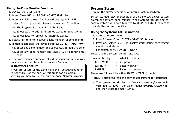## **Using the Zone Monitor Function**

- 1. Access the User Menu.
- 2. Press COMMAND until **ZONE MONITOR?** displays.
- 3. Press any Select key. The keypad displays **ALL NBR**.
- 4. Select **ALL** to place all disarmed zones into Zone Monitor. 4a. The keypad displays **ALL? ADD RMV.**
	- 4b. Select **ADD** to add all disarmed zones to Zone Monitor.

4c. Select **RMV** to remove all disarmed zones.

- 5. Select **NBR** to enter a specific zone number for zone monitor.
- 6. If **NBR** is selected, the keypad displays **ZONE: ADD RMV**. 6a. Enter any zone number and select **ADD** to add this zone.
	- 6b. Enter any zone number and select **RMV** to remove this zone.
- 7. The zone number automatically disappears and a new zone number can then be entered in step 6a or 6b.

## ☞ **Browser Feature**

If you are unsure of the zone number or description, refer to Appendix B at the back of this guide for a diagram showing you how to use the built-in **Zone Monitor browser**.

## **System Status**

Displays the current condition of internal system hardware.

System Status displays the condition of the panel's AC power, battery power, and optional panel tamper. When System Status is selected, each monitor is displayed followed by **OKAY** or **TRBL** (Trouble) to indicate the current condition.

## **Using the System Status Function**

- 1. Access the User Menu.
- 2. Press COMMAND until **SYSTEM STATUS?** displays.
- 3. Press any Select key. The display starts listing each system monitor and status.

For example: **AC POWER - OKAY**

Below are the System Monitor displays:

| Keypad Display  | What it monitors     |
|-----------------|----------------------|
| <b>AC POWER</b> | $= AC power$         |
| <b>BATTERY</b>  | = Battery power      |
| <b>TAMPER</b>   | $=$ Panel box tamper |

These are followed by either **OKAY** or **TRBL** (trouble).

If **TRBL** is displayed, call the service department for assistance.

4. The system then displays its firmware version (for example, **VER\_201\_9/15/99**), the panel model (**MODEL XR200-485**), and then exits the User Menu.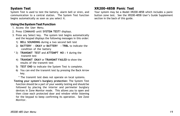## **System Test**

System Test is used to test the battery, alarm bell or siren, and communication to a central station. The System Test function begins automatically as soon as you select it.

## **Using the System Test Function**

- 1. Access the User Menu.
- 2. Press COMMAND until **SYSTEM TEST?** displays.
- 3. Press any Select key. The system test begins automatically and the keypad displays the following messages in this order:
	- 1) **BELL SOUNDING** during a two second bell test
	- 2) **BATTERY OKAY** or **BATTERY TRBL** to indicate the condition of the battery
- \* 3) **TRANSMIT TEST** and **ATTEMPT NO : 1** during the transmit test
- 4) **TRANSMIT OKAY** or **TRANSMIT FAILED** to show the results of the transmit test
- 5) **TEST END** to indicate the System Test is complete.
- 6) You can end the transmit test by pressing the Back Arrow key.
	- \* The transmit test does not operate on local systems.
- **Testing your systemís burglary protection:** The System Test function should be a part of your weekly testing and should be followed by placing the interior and perimeter burglary devices in Zone Monitor mode. This allows you to open and then close each protected door and window while listening for the keypad to beep confirming its operation. See Zone Monitor.

## **XR200-485B Panic Test**

Your system may be a Model XR200-485B which includes a panic button zone test. See the XR200-485B User's Guide Supplement section in the back of this guide.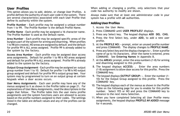## **User Profiles**

This option allows you to add, delete, or change User Profiles. A profile defines the authority of each user code in the system. There are several characteristics associated with each User Profile that define its authority within the system.

**Profile Number** - Each profile may be assigned a unique number from 1 to 99. The Profile Number is the default Profile Name.

**Profile Name** - Each profile may be assigned a 16 character name. The Profile Number is used as the Default name.

**Area Number** - Each profile may be assigned specific areas of the burglary part of the system for arming and disarming. When profiles 1 to 98 are created, NO areas are assigned by default and the default for profile 99 is ALL areas assigned. Profile 99 is already added to the system by the factory.

**Access Area Number** - Each profile may be assigned door access area assignments. Default for profile 1 to 98 is NO areas assigned and default for profile 99 is ALL areas assigned. Profile 99 is already added to the system by the factory.

**Output Group Assignment** - Each profile may be assigned an output group number from 1 to 10. Default for profile 1 to 98 is NO output group assigned and default for profile 99 is output group **ten**. Your system may by programmed to turn on an output group at certain keypads when a door access occurs.

**User Menu Assignments** - Each user profile may have any of the menus assigned to it as shown in the Profile table on page 21. For explanations of User Menu Assignments, read the descriptions in the pages that follow. The Profile table lists the user menu profile assignments and the system functions users are allowed to access based on the profile numbers assigned to their codes. The settings listed in the table are default values and any of the profiles can be changed.

When adding or changing a profile, only selections that your code has authority to modify are shown.

Always make sure that at least one administrator code in your system has a profile with **all** authorities.

## **Adding User Profiles**

- 1. Access the User Menu.
- 2. Press COMMAND until **USER PROFILES?** displays.
- 3. Press any Select key. The keypad displays **ADD DEL CHG**.
- 4. Press the first Select key, under **ADD,** to add a new user profile.
- 5. At the **PROFILE NO: -** prompt, enter an unused profile number and press COMMAND. The display changes to **PROFILE NAME**.
- 6. Press any Select key and the display changes to **-**. Enter a profile name of up to 16 characters. After the name is entered, press COMMAND. See **Entering Names** in Appendix B.
- 7. At the **AREAS:** prompt, enter the area numbers (1-8) for arming and disarming assigned to this profile.
- 8. The keypad displays **ACCESS:** . Enter the area numbers (1-8) assignment to allow door access for this profile. Press the COMMAND key.
- 9. The keypad displays **OUTPUT GROUP: -**. Enter the number (1- 10) for the Output Group assigned to this profile. Press the COMMAND key.
- 10. The keypad displays each of the menus as shown in the Profile Table on the following page for you to enable for this profile number. Select YES or NO and press the COMMAND key to advance to the next menu Selection.
- 11. When you have completed Selecting all User Profile menu assignments, the keypad displays **PROFILE ## ADDED** message for 4 seconds.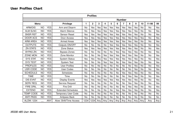## **User Profiles Chart**

| <b>Profiles</b>  |               |            |                            |           |                |           |           |           |           |           |           |           |           |           |           |
|------------------|---------------|------------|----------------------------|-----------|----------------|-----------|-----------|-----------|-----------|-----------|-----------|-----------|-----------|-----------|-----------|
|                  | <b>Number</b> |            |                            |           |                |           |           |           |           |           |           |           |           |           |           |
| Menu             |               |            | <b>Privilege</b>           | 1         | $\overline{2}$ | 3         | 4         | 5         | 6         | 7         | 8         | 9         | 10        | 11-98     | 99        |
| <b>ARM/DIS</b>   | <b>NO</b>     | <b>YES</b> | Arm and Disarm             | No        | Yes            | Yes       | Yes       | Yes       | Yes       | Yes       | Yes       | Yes       | <b>No</b> | No        | Yes       |
| <b>ALM SLNC</b>  | <b>NO</b>     | <b>YES</b> | <b>Alarm Silence</b>       | No        | Yes            | Yes       | Yes       | Yes       | Yes       | Yes       | Yes       | Yes       | <b>No</b> | <b>No</b> | Yes       |
| <b>SNSR RST</b>  | <b>NO</b>     | <b>YES</b> | <b>Sensor Reset</b>        | Yes       | Yes            | Yes       | Yes       | Yes       | Yes       | Yes       | Yes       | Yes       | <b>No</b> | <b>No</b> | Yes       |
| <b>DOOR ACS</b>  | <b>NO</b>     | <b>YES</b> | Door Access                | Yes       | Yes            | Yes       | Yes       | Yes       | Yes       | Yes       | Yes       | Yes       | Yes       | <b>No</b> | Yes       |
| <b>ARM AREA</b>  | <b>NO</b>     | <b>YES</b> | <b>Armed Areas</b>         | Yes       | Yes            | Yes       | Yes       | Yes       | Yes       | Yes       | Yes       | Yes       | <b>No</b> | <b>No</b> | Yes       |
| <b>OUTPUTS</b>   | <b>NO</b>     | <b>YES</b> | Outputs ON/OFF             | <b>No</b> | <b>No</b>      | <b>No</b> | <b>No</b> | Yes       | Yes       | Yes       | Yes       | Yes       | <b>No</b> | <b>No</b> | Yes       |
| <b>ZN STATS</b>  | <b>NO</b>     | <b>YES</b> | Zone Status                | Yes       | Yes            | Yes       | Yes       | Yes       | Yes       | Yes       | Yes       | Yes       | <b>No</b> | No        | Yes       |
| <b>BYPAS ZN</b>  | <b>NO</b>     | <b>YES</b> | <b>Bypass Zones</b>        | No        | <b>No</b>      | <b>No</b> | <b>No</b> | <b>No</b> | Yes       | Yes       | Yes       | Yes       | <b>No</b> | No        | Yes       |
| <b>ZONE MON</b>  | <b>NO</b>     | <b>YES</b> | Zone Monitor               | <b>No</b> | <b>No</b>      | <b>No</b> | Yes       | Yes       | Yes       | Yes       | Yes       | Yes       | <b>No</b> | <b>No</b> | Yes       |
| <b>SYS STAT</b>  | <b>NO</b>     | <b>YES</b> | <b>System Status</b>       | Yes       | Yes            | Yes       | Yes       | Yes       | Yes       | Yes       | Yes       | Yes       | <b>No</b> | <b>No</b> | Yes       |
| <b>SYS TEST</b>  | <b>NO</b>     | <b>YES</b> | <b>System Test</b>         | <b>No</b> | <b>No</b>      | <b>No</b> | Yes       | Yes       | <b>No</b> | Yes       | Yes       | Yes       | <b>No</b> | <b>No</b> | Yes       |
| <b>PROFILES</b>  | <b>NO</b>     | <b>YES</b> | <b>User Profiles</b>       | <b>No</b> | No             | <b>No</b> | <b>No</b> | <b>No</b> | <b>No</b> | <b>No</b> | <b>No</b> | Yes       | <b>No</b> | <b>No</b> | Yes       |
| USR CODE         | <b>NO</b>     | <b>YES</b> | <b>User Codes</b>          | <b>No</b> | <b>No</b>      | <b>No</b> | <b>No</b> | <b>No</b> | <b>No</b> | <b>No</b> | <b>No</b> | Yes       | <b>No</b> | <b>No</b> | Yes       |
| <b>SCHEDULS</b>  | <b>NO</b>     | <b>YES</b> | <b>Schedules</b>           | No        | <b>No</b>      | <b>No</b> | <b>No</b> | <b>No</b> | <b>No</b> | Yes       | Yes       | Yes       | <b>No</b> | <b>No</b> | Yes       |
| <b>TIME</b>      | <b>NO</b>     | <b>YES</b> | Time                       | No        | <b>No</b>      | <b>No</b> | <b>No</b> | <b>No</b> | <b>No</b> | <b>No</b> | Yes       | Yes       | <b>No</b> | <b>No</b> | Yes       |
| <b>DIS EVNT</b>  | <b>NO</b>     | <b>YES</b> | <b>Display Events</b>      | Yes       | Yes            | Yes       | Yes       | Yes       | Yes       | Yes       | Yes       | Yes       | <b>No</b> | <b>No</b> | Yes       |
| <b>SERV REQ</b>  | <b>NO</b>     | <b>YES</b> | Service Request            | <b>No</b> | <b>No</b>      | <b>No</b> | <b>No</b> | <b>No</b> | <b>No</b> | <b>No</b> | Yes       | Yes       | <b>No</b> | <b>No</b> | Yes       |
| <b>FIRE DRIL</b> | <b>NO</b>     | <b>YES</b> | <b>Fire Drill</b>          | <b>No</b> | <b>No</b>      | <b>No</b> | <b>No</b> | <b>No</b> | <b>No</b> | <b>No</b> | Yes       | Yes       | <b>No</b> | No        | Yes       |
| <b>EXTEND</b>    | <b>NO</b>     | <b>YES</b> | <b>Extended Schedules</b>  | No        | <b>No</b>      | <b>No</b> | <b>No</b> | <b>No</b> | Yes       | Yes       | Yes       | Yes       | <b>No</b> | No        | Yes       |
| <b>TEMP CODE</b> | <b>NO</b>     | <b>YES</b> | <b>Temporary User Code</b> | No        | <b>No</b>      | <b>No</b> | <b>No</b> | <b>No</b> | <b>No</b> | <b>No</b> | <b>No</b> | <b>No</b> | <b>No</b> | No        | <b>No</b> |
| <b>ANTI PASS</b> | <b>NO</b>     | <b>YES</b> | Antipass Back              | <b>No</b> | <b>No</b>      | <b>No</b> | <b>No</b> | <b>No</b> | <b>No</b> | <b>No</b> | <b>No</b> | No        | <b>No</b> | No        | <b>No</b> |
| ALOW: 1234       |               | ANY        | Alow: Shift/Time Access    | 1234      | 1234           | Any       | Any       | Any       | Any       | Any       | Any       | Any       | Any       | Any       | Any       |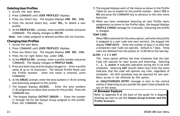## **Deleting User Profiles**

- 1. Access the User Menu.
- 2. Press COMMAND until **USER PROFILES?** displays.
- 3. Press any Select key. The keypad displays **ADD DEL CHG**.
- 4. Press the second Select key, under **DEL,** to delete a user profile.
- 5. At the **PROFILE NO: -** prompt, enter a profile number and press COMMAND. The display changes to **DELTD**.

**Note:** User codes assigned to deleted profiles will not function.

## **Changing User Profiles**

- 1. Access the User Menu.
- 2. Press COMMAND until **USER PROFILES?** displays.
- 3. Press any Select key. The keypad displays **ADD DEL CHG**.
- 4. Press the far right Select key, under **CHG**.
- 4. At the **PROFILE NO: -** prompt, enter a profile number and press COMMAND. The display changes to **PROFILE NAME**.
- 5. Press any Select key and the display changes to **-**. Enter a profile name of up to 16 characters. The default Profile Name uses the Profile Number. After the name is entered, press COMMAND.
- 6. At the **AREAS:** prompt, enter the area numbers (1-8) for arming and disarming assigned to this profile.
- 7. The keypad displays **ACCESS:** . Enter the area numbers (1-8) assignment to allow door access for this profile. Press the COMMAND key.
- 8. The keypad displays **OUTPUT GROUP: -**. Enter the number (1 through 10) for the Output Group assigned to this profile. Press the COMMAND key.
- 9. The keypad displays each of the menus as shown in the Profile Table for you to enable for this profile number. Select **YES** or **NO** and press the COMMAND key to advance to the next menu Selection.
- 10. When you have completed Selecting all User Profile menu assignments as shown in the Profile table, the keypad displays **PROFILE CHNGD** message for 4 seconds, indicating the profile is changed.

### **TEMP CODE**

When **YES** is selected for this menu option, and when this profile is assigned to a user code (see next section), the keypad will display **TEMP DAYS:** . Enter the number of days (1 to 250) that a temporary User Code can operate. Default is 7 days. Temp users are deleted from the system at 12:00 AM on the last day.

### **ALOW: 1 2 3 4 ANY**

This menu option defines the time schedules that the User Code will operate for door access and disarming. Selecting **1, 2, 3, and/or 4** indicates operation during the S1-S4 shift schedules. Selecting **ANY** (fourth Select key) from the menu indicates that the code will operate any time, regardless of schedules. All shift schedules may be selected for one user. Menu access is not affected by this option.

An **UNAUTHORIZED ENTRY** message is sent to the central station if disarming occurs outside the open/close schedule for any of the areas.

## ☞ **Browser Feature**

Refer to Appendix B at the back of this guide for a diagram showing you how to use the **Output Group browser and the Profile browsers**.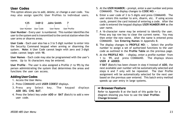## **User Codes**

This option allows you to add, delete, or change a user code. You may also assign specific User Profiles to individual users.



**User Number** - Every user is numbered. This number identifies the user to the system and is transmitted to the central station when the user arms or disarms areas.

**User Code** - Each user also has a 3 to 5 digit number to enter into the Security Command keypad when arming or disarming the system. **Note**: A User Code cannot begin with zero and 3-digit codes cannot begin with 98.

**User Names** - Each code may also be programmed with the user's name. Up to 16 characters may be entered.

**User Profile** - The user is also assigned a Profile (1 to 99) by the person administrating the system that determines the areas and functions the user can access.

## **Adding User Codes**

- 1. Access the User Menu.
- 2. Press COMMAND until **USER CODES?** displays.
- 3. Press any Select key. The keypad displays **ADD DEL CHG BAT**.
- 4. Press the Select key under **ADD** or **BAT** (Batch) to add a new user code.
- 5. At the **USER NUMBER: -** prompt, enter a user number and press COMMAND. The display changes to **CODE NO: -** .
- 6. Enter a user code of 3 to 5 digits and press COMMAND. The user enters this number to arm, disarm, etc. If using access cards, present the card instead of entering a code. After the code is entered the keypad displays **USER NUMBER ###** as the user name.
- 7. A 16-character name may be entered to identify the user. Press any top row key to clear the current name. You may then enter the new name. After the name is entered press COMMAND. See **Entering Names** in Appendix B.
- 8. The display changes to **PROFILE NO: -**. Select the profile number to assign a set of authorized functions to the user code as outlined in the **Profile Table** on the previous page.
- 9. At the **PROFILE NO:** display, enter a profile number from 1 to 99, and press COMMAND. The displays shows **USER # ADDED**.

If **BAT** (Batch) has been chosen in step 4 instead of **ADD**, the next available user number will be automatically selected and steps 6 and 7 only will be repeated. The User Profile assignment will be automatically selected for the next user based on the previous user entered. This batch entry method speeds up user entry in large systems.

## ☞ **Browser Feature**

Refer to Appendix B at the back of this guide for a diagram showing you how to use the **User Profiles Change browser**.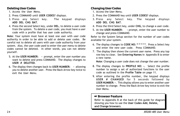## **Deleting User Codes**

- 1. Access the User Menu.
- 2. Press COMMAND until **USER CODES?** displays.
- 3. Press any Select key. The keypad displays **ADD DEL CHG BAT**.
- 4. Press the second Select key, under **DEL**, to delete a user code from the system. To delete a user code, you must have a user code with a profile that has user code authority.

**Note**: Your system must have at least one user with user code authority in order to be able to add or delete user codes. Be careful not to delete all users with user code authority from your system. Also, the user code used to enter the user menu to delete codes cannot be deleted. In other words, you can not delete yourself.

- 5. At the **USER NUMBER: -** prompt, enter the user number you want to delete and press COMMAND. The display changes to **USER # DELETED**.
- 6. The display then changes back to **USER NUMBER: -** allowing you to delete another user. Press the Back Arrow key twice to exit the User Menu.

## **Changing User Codes**

- 1. Access the User Menu.
- 2. Press the COMMAND key until **USER CODES?** displays.
- 3. Press any Select key. The keypad displays **ADD DEL CHG BAT**.
- 4. Press the third Select key, under **CHG,** to change a user code.
- 5. At the **USER NUMBER: -** prompt, enter the user number to change and press COMMAND.

Refer to the System Setup section for the number of user codes available for your system.

- 6. The display changes to **CODE NO: \* \* \* \* \***. Press a Select key and enter the new user code. Press COMMAND.
- 7. The display then shows the current user name. Press any top row key to clear. See **Entering Names** in Appendix B to enter a new name.

**Note**: Changing a user code does not change the user number.

- 8. The display changes to **PROFILE NO: -.** Select the profile number to assign a set of authorized functions to the user code as outlined in the **Profile Table** on page 11.
- 9. After entering the profile number, the keypad displays **USER # CHANGED** for 5 seconds followed by **USER NUMBER: -**. This display allows you to enter another user number to change. Press the Back Arrow key twice to exit the User Menu.

## ☞ **Browser Feature**

Refer to Appendix B at the back of this guide for diagrams showing you how to use the **User Codes Add, Delete, and Change browsers**.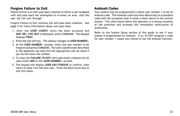## **Forgive Failure to Exit**

Failure to Exit is an Anti-pass back violation in which a user assigned with anti-pass back has attempted to re-enter an area that the user did not exit through.

Forgive Failure to Exit removes the anti-pass back violation. See page 5 for more information about anti-pass back.

- 1. After the **USER CODES?** menu has been accessed and **ADD DEL CHG BAT** is displayed, press COMMAND. The keypad displays **FRGV.**
- 2. Press the top left key. The display changes to **USER NUMBER:-**
- 3. At the **USER NUMBER:-** prompt, enter the user number to be forgiven and press COMMAND. The User Code Browser described in the Appendix can help find the appropriate user by name if you do not know the number.
- 4. To clear the **FAILURE TO EXIT** (Anti-pass back) violation for all users enter **000** at the **USER NUMBER:-** prompt.
- 5. The keypad will display **USER XXX FORGIVE** to confirm, then return to step 3 for the next user. Press the Back Arrow key to exit this menu.

## **Ambush Codes**

Your system may be programmed to allow user number 1 to be an Ambush code. This Ambush code functions identically to a standard code with the exception that it sends a silent alarm to the central station. This silent alarm alerts the operator to a duress situation at the premises and prompts the immediate notification of authorities.

Refer to the System Setup section of this guide to see if your system is programmed for Ambush. If so, do NOT program a code for user number 1 unless you intend to use the Ambush function.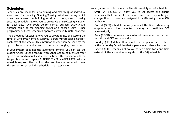## **Schedules**

Schedules are ideal for auto arming and disarming of individual areas and for creating Opening/Closing windows during which users can access the building or disarm the system. Having separate schedules allows you to create Opening/Closing windows for each day. One could be for normal business activity and another could be for cleaning crews or a second shift. Once programmed, these schedules operate continually until changed.

The Schedules function allows you to program into the system the times at which you normally turn your burglary protection on and off each day of the week. This information can then be used by the system to automatically arm or disarm the burglary protection.

If your system does not use automatic arming, you can use the Closing Check/Extend feature with Schedules to help ensure your system is armed manually at a specific time. This option sounds the keypad buzzer and displays **CLOSING TIME!** or **AREA LATE!** when a schedule expires. Users still on the premises are reminded to arm the system or extend the schedule to a later time.

Your system provides you with five different types of schedules:

**Shift (S1, S2, S3, S4)** allow you to set access and disarm schedules that occur at the same time each day until you change them. Users are assigned to shifts using the **ALOW** authority.

**Output (OUT)** schedules allow you to set the times when relay outputs or door strikes connected to your system turn ON and OFF automatically.

**Door (DOOR)** schedules allow you to set times when door strikes turn ON and OFF automatically.

**Holiday (HOL)** dates allow you to enter special dates which activate Holiday Schedules that supercede all other schedules.

**Extend (EXT)** schedules allow you to set a time for a one time extend of the current running shift (S1 - S4) schedule.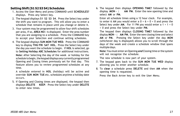## **Setting Shift (S1 S2 S3 S4) Schedules**

- 1. Access the User Menu and press COMMAND until **SCHEDULES?** displays. Press any Select key.
- 2. The keypad displays **S1 S2 S3 S4**. Press the Select key under the shift you want to program. This will allow you to enter a schedule that remains in place until you change or delete it.
- 3. Your system may be programmed to allow four shift schedules per area, if so, **AREA NO:-** is displayed. Enter the area number that you are assigning to a schedule. Press the COMMAND key to accept your Selection and continue setting schedules.
- 4. The keypad displays **SUN MON TUE WED**. Press the COMMAND key to display **THU FRI SAT HOL.** Press the Select key under the day you want the schedule to begin. If **HOL** is selected, go to **Setting Holiday ABC Schedules** for additional instructions.

**Note:** After Selecting the day of the week or holiday for the schedule to begin, the keypad displays any currently programmed Opening and Closing times previously set for that day. This feature allows you to review programmed schedules at any time.

A schedule entered in **HOL** (holiday) will be active and override **SUN MON TUE** etc. schedules anytime a holiday date occurs.

5. If Opening and Closing times are displayed, the keypad then displays **DELETE KEEP**. Press the Select key under **DELETE** to enter new times.

6. The keypad then displays **OPENING TIME?** followed by the display **MON** - : **AM PM.** Enter the new opening time and select **AM** or **PM**.

Enter all schedule times using a 12 hour clock. For example, to enter 6 AM you would enter a  $0 + 6 + 0 + 0$  and press the Select key under  $AM$ . For 11 PM you would enter a  $1 + 1 + 0$ + 0 and press the Select key under **PM**.

The keypad then displays **CLOSING TIME?** followed by the display **MON - : AM PM.** Enter the new closing time and select **AM** or **PM**. Pressing the Select key under the day **MON** (whichever day is displayed) allows you to scroll through the days of the week and create a schedule window that spans multiple days.

**Note:** You must enter an Opening *and* Closing time or the system will not recognize the schedule.

The new schedule is now part of your system.

- 7. The keypad goes back to the **SUN MON TUE WED** display allowing you to enter another schedule.
- 8. To **clear** a schedule press **DELETE** and then **AM** when the opening time is requested.

Press the Back Arrow key to exit the User Menu.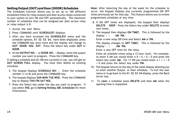## **Setting Output (OUT) and Door (DOOR) Schedules**

The Schedules function allows you to set up to 100 different scheduled times for relay outputs and door access relays connected to your system to turn ON and OFF automatically. The maximum number of schedules that can be assigned per door access relay or relay output is 8.

- 1. Access the User Menu.
- 2. Press COMMAND until **SCHEDULES?** displays.
- 3. After you have accessed the **SCHEDULES?** menu and the schedule options, **S1 S2 S3 S4**, have been displayed, press the COMMAND key once more and the display will change to **OUT DOOR HOL EXT**. Press the Select key under **OUT** or **DOOR**.
- 4. At the **OUTPUT NO:** or **DOOR NO:** display, enter the output number you want to program. Press the COMMAND key.

If adding a schedule and all 100 are currently in use, you will get an **OUT SCHEDS FULL** display. You must then delete an existing schedule.

- 5. The keypad displays **SCHEDULE NO: -**. Enter the schedule number (1 to 8) and press the COMMAND key.
- 6. The keypad displays **SUN MON TUE WED**. Press the COMMAND key to display **THU FRI SAT HOL**.
- 7. Press the Select key under the day you want to program. If you select **HOL** go to **Setting Holiday ABC Schedules** for more information.

**Note:** After Selecting the day of the week for the schedule to occur, the keypad displays any currently programmed ON OFF times previously set for that day. This feature allows you to review programmed schedules at any time.

- 8. If ON OFF times are displayed, the keypad then displays **DELETE KEEP**. Press the Select key under **DELETE** to enter new times.
- 9. The keypad then displays **ON TIME?.** This is followed by the  $display$   $\cdot$   $\cdot$  **AM PM.**

Enter a new relay ON time and Select **AM** or **PM**.

The display changes to **OFF TIME?.** This is followed by the display - : **AM PM.** 

Enter a new OFF time for the relay.

Enter all schedule times using a 12 hour clock. For example, to enter 6 AM you would enter a  $0 + 6 + 0 + 0$  and press the Select key under  $AM$ . For 11 PM you would enter a  $1 + 1 + 0$ + 0 and press the Select key under **PM**.

- 10. The keypad returns to the day of the week display allowing you to enter another Output or Door schedule. To exit the user menu or to go back to the **S1 S2 S3 S4** display, press the Back Arrow key.
- 11. To **clear** a schedule press **DELETE** and then **AM** when the opening time is requested.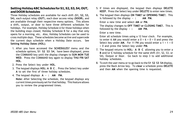## **Setting Holiday ABC Schedules for S1, S2, S3, S4, OUT, and DOOR Schedules**

Three Holiday schedules are available for each shift (**S1, S2, S3, S4**), each output relay (**OUT**), each door access relay (**DOOR**), and are available through their respective menu options. This allows a shift, output, or door to have three different schedules for holidays. For example, Holiday Schedule A for those holidays when the building stays closed, Holiday Schedule B for a day that only opens for a morning, etc. Also, Holiday Schedules can be used to cross multiple days. These schedules become active and supercede the current days schedule when a Holiday Date occurs. See **Setting Holiday Dates (HOL)**.

- 1. After you have accessed the **SCHEDULES?** menu and the schedule options, **S1 S2 S3 S4**, have been displayed, press the COMMAND key until the display changes to **SUN MON TUE WED**. Press the COMMAND key again to display **THU FRI SAT HOL**.
- 2. Press the Select key under **HOL**.
- 3. The keypad displays **HOL: A B C** . Press the Select key under **A** to set the first of three holiday schedules.

4. The keypad displays **A - : AM PM**.

**Note:** After Selecting the schedule, the keypad displays any current times previously set for that holiday. This feature allows you to review the programmed times.

- 5. If times are displayed, the keypad then displays **DELETE KEEP**. Press the Select key under **DELETE** to enter new times.
- 6. The keypad then displays **ON TIME? or OPENING TIME?.** This is followed by the display  $-$  :  $-$  **AM PM.** Enter a new time and select **AM** or **PM**.

The display changes to **OFF TIME? or CLOSING TIME?.** This is followed by the display  $\cdot$  : **AM PM.** 

Enter a new time.

Enter all schedule times using a 12 hour clock. For example, to enter 6 AM you would enter a  $0 + 6 + 0 + 0$  and press the Select key under  $AM$ . For 11 PM you would enter a  $1 + 1 + 0$ + 0 and press the Select key under **PM**.

- 7. The keypad returns to **HOL: A B C** allowing you to enter a **B** and/or **C** holiday schedule for the same shift (S1, S2, S3, or S4), Output or Door. Go back to step 3 to add additional holiday schedules.
- 8. To exit the user menu or to go back to the **S1 S2 S3 S4** display, press the Back Arrow key. To **clear** a schedule press **DELETE** and then **AM** when the opening time is requested.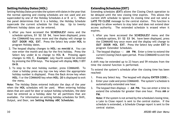## **Setting Holiday Dates (HOL)**

Setting Holiday Dates provides the system with dates in the year that the normal opening and closing schedules are not used and are superceded by one of the Holiday Schedules A or B or C. When the panel determines that it is a holiday, the Holiday Schedule supercede the current schedule for that day. Up to twenty different holiday dates can be entered.

- 1. After you have accessed the **SCHEDULES?** menu and the schedule options, **S1 S2 S3 S4**, have been displayed, press the COMMAND key once more and the display will change to **OUT DOOR HOL EXT**. Press the Select key under **HOL** to program Holiday dates.
- 2. The keypad display changes to **HOL: xx mm/dd A**. You can now enter the month and day for the first holiday. Press the Select key under **A** to change to HOL **B**. Pressing again changes to HOL **C**. *Example:* July fourth would be entered by pressing the 0704 keys. The keypad will display **HOL:1 07/ 04 B**.
- 3. To step to the next holiday number, press COMMAND. To clear a holiday press any top row key when the appropriate holiday number is displayed. Press the Back Arrow key when **HOL: 1** or the COMMAND key when **HOL: 20** is displayed to exit the menu.

**Note:** The Holiday Dates entered indicate the days of the year when the **HOL** schedules will be used. When entering holiday dates that are used for door or output holiday schedules, the date must be entered as a holiday date for all partitions that are available. For information on setting holiday schedules for Shift, Output, and Door, see **Setting Holiday ABC Schedules**.

## **Extending Schedules (EXT)**

Extending schedules **(EXT)** allows the Closing Check operation to be delayed until the new closing time expires. This allows the current shift schedule to ignore its closing time and not send a **LATE TO CLOSE** message to the central station. This function is designed to allow workers to stay later and does not extend door access authority. The extended schedule is erased when it expires.

- 1. After you have accessed the **SCHEDULES?** menu and the schedule options, **S1 S2 S3 S4**, have been displayed, press the COMMAND key once more and the display will change to **OUT DOOR HOL EXT**. Press the Select key under **EXT** to program Extended Schedules.
- 2. The keypad displays -: AM PM. Enter a time to extend the current Closing Check open period. Press COMMAND to exit the menu.

A shift may be extended up to 23 hours and 59 minutes from the time the extend function is performed.

To extend the system's schedule after the closing time has been reached:

- 1. Press any Select key. The keypad will display **ENTER CODE:-**.
- 2. Enter your code and press COMMAND. The system's schedule is automatically extended one hour.
- 3. The keypad then displays **-: AM PM**. You can enter a time to extend the schedule for greater than one hour. Press **AM** or **PM**.

**Note:** If the system is not armed by the scheduled closing time, a Late to Close report is sent to the central station. If the schedule is extended, a Schedule Change report is sent to the central station.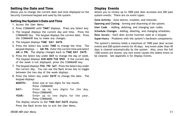## **Setting the Date and Time**

Allows you to change the current date and time displayed on the Security Command keypad and used by the system.

## **Setting the Systemís Date and Time**

- 1. Access the User Menu.
- 2. Press COMMAND until **TIME?** displays. Press any Select key.
- 3. The keypad displays the current day and time. Press the COMMAND key. The keypad displays the current date. Press the COMMAND key to make any changes.
- 4. The keypad displays **TIME DAY DATE**.
- 5. Press the Select key under **TIME** to change the time. The keypad displays - : AM PM. Enter the current time and select **AM** or **PM**. The display changes back to **TIME DAY DATE**.
- 6. Press the Select key under **DAY** to change the day of week. The keypad displays **SUN MON TUE WED**. If the current day of the week is not displayed, press the COMMAND key.
- 7. The keypad displays **THU FRI SAT**. Press the Select key under the correct day. You can use the Back Arrow key to toggle between the two day of the week displays.
- 8. Press the Select key under **DATE** to change the date. The keypad displays
	- **MONTH:-** Enter one or two digits for the month. Press COMMAND.
	- **DAY:-** Enter up to two digits for the day. Press COMMAND.
	- **YEAR:-** Enter up to two digits for the year. Press COMMAND.

The display returns to the **TIME DAY DATE** display.

Press the Back Arrow key to exit the User Menu.

## **Display Events**

Allows you to review up to 1000 past door accesses and 200 past system events. There are six event types:

**Zone Activity** - Zone alarms, troubles, and restorals.

**Opening and Closing** - Arming and disarming of the system.

**User Code** - Adding, deleting, and changing user codes.

**Schedule Changes** - Adding, deleting, and changing schedules.

**Door Access** - Each door access function used at a keypad.

**Supervisory** - Problems with the system's hardware components.

The system's memory holds a maximum of 1000 past door access events and 200 system events for 45 days. Any event older than 45 days is cleared automatically by the system. Also, once the full 1200 events are stored, any new event causes the oldest event to be cleared. See Appendix A for Display Events.

### *XR200-485 User Menu* 31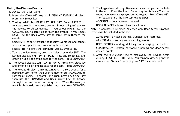## **Using the Display Events**

- 1. Access the User Menu.
- 2. Press the COMMAND key until **DISPLAY EVENTS?** displays. Press any Select key.
- 3. The keypad displays **FRST LST PRT SRT**. Select **FRST** (first) to view the oldest to newest events. Select **LST** (last) to view the newest to oldest events. If you select **FIRST**, use the COMMAND key to scroll up through the events. If you select **LAST**, use the Back Arrow key to scroll down through the events.

Select **SRT** to sort through the Display Events log and collect information specific to a user or system event.

Select **PRT** to print the complete Display Events log.

- 4. To use the Sort feature, press the Select key under **SRT**. The keypad displays **FRST DATE: 8/21**. Press any Select key and enter a 4-digit beginning date for the sort. Press COMMAND.
- 5. The keypad displays **LAST DATE: 10/17**. Press any Select key and enter a 4-digit ending date for the sort. Press COMMAND.
- 6. The keypad displays **USER NUMBER: -**. To sort events for a particular user, enter their user number or press COMMAND to sort for all users. To search for a user, press any Select key then use the COMMAND and Back Arrow keys to browse through the user names in the system. When the user you want is displayed, press any Select key then press COMMAND.

7. The keypad next displays five event types that you can include in the sort. Press the fourth Select key to display **YES** as the event type name is displayed on the keypad. Press COMMAND. The following are the five sort event types:

**ACCESSES** = door accesses granted.

**DOOR NUMBER** = leave blank for all doors.

**Note:** If accesses is selected **YES** then only Door Access **Granted** Events will be included in the sort.

**ZONE EVENTS** = zone alarms, troubles, and restorals.

**ARM/DISARM** = arming and disarming events.

**USER EVENTS** = adding, deleting, and changing user codes. **SUPERVISORY** <sup>=</sup> system hardware problems and door access denied events.

8. After the last event type is displayed, the keypad again displays **FRST LST PRT SRT.** You can now view or print the new sorted Display Events or press **SRT** for a new sort.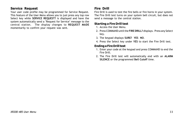## **Service Request**

Your user code profile may be programmed for Service Request. This feature of the User Menu allows you to just press any top row Select key while **SERVICE REQUEST?** is displayed and have the system automatically send a "Request for Service" message to the central station. The display changes to **REQUEST MADE** momentarily to confirm your request was sent.

## **Fire Drill**

Fire Drill is used to test the fire bells or fire horns in your system. The Fire Drill test turns on your system bell circuit, but does not send a message to the central station.

## **Starting a Fire Drill test**

- 1. Access the User Menu.
- 2. Press COMMAND until the **FIRE DRILL?** displays. Press any Select key.
- 3. The keypad displays **SURE? YES NO**.
- 4. Press the Select key under **YES** to start the Fire Drill test.

## **Ending a Fire Drill test**

- 1. Enter your code at the keypad and press COMMAND to end the Fire Drill.
- 2. The Fire Drill test will automatically end with an **ALARM SILENCE** or the programmed **Bell Cutoff** time.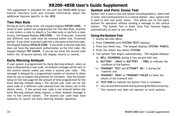## **XR200-485B Userís Guide Supplement**

This supplement is intended for use with the XR200-485B Access Control Interface Card and includes information about the additional features specific to the 485B.

## **Two Man Rule**

During an entry delay time, the keypad displays **ENTER CODE:**. If areas of your system are programmed for Two Man Rule, anytime a user enters a code to disarm a Two Man area or perform a door access, the keypad displays **2ND CODE: -** for 10 seconds. A second and different user code must be entered within that 10-second period. If you enter a second code that is the same as the first code, the keypad displays **INVALID CODE.** If you enter a second code that does not have the equivalent authorization as the first code, the keypad displays **TRY AGAIN.** If you do not enter the second code within the 10-second period, the display returns to normal.

## **Early Morning Ambush**

If your system is programmed for Early Morning Ambush, when an area is disarmed by a user code, an Ambush message will be sent to the central station unless you enter a second user code. This message is delayed by a programmed number of minutes to allow time for you to inspect the premises for intruders. (See the System Setup on the next page for the amount of time programmed for the Early Morning Ambush delay.) The second user code can be the same code or a different code entered from the Status List in the disarm menu. If the second user code is not entered before the Early Morning Ambush delay expires, a silent Ambush message is sent to the central station. The second user code must have authority to cancel the Early Morning Ambush operation.

## **System and Panic Zones Test**

System Test is used to test the system including battery, alarm bell or siren, and communication to a central station. Also, system test is used to test user panic zones. This allows you to test panic buttons for operation without sending a message to the central station. The System Test or Panic Zone Test function begins automatically as soon as you select it.

## **Using the System Test**

- 1. Access the User Menu.
- 2. Press COMMAND until **SYSTEM TEST?** displays.
- 3. Press any Select key. The keypad displays **SYSTEM PANICS.**
- 4. Press the Select key below **SYSTEM**.
- 5. The System Test begins automatically. The keypad displays:
	- a) **BELL SOUNDING** during a two second bell test
	- b) **BATTERY OKAY** or **BATTERY TRBL** to indicate the condition of the battery
- \* c) **TRANSMIT TEST** and **ATTEMPT NO : 1** during the transmit test
- d) **TRANSMIT OKAY** or **TRANSMIT FAILED** to show the results of the transmit test
- e) **TEST END** to indicate the System Test is complete.
- f) You can end the transmit test by pressing the Back Arrow key.
	- \* The transmit test does not operate on local systems.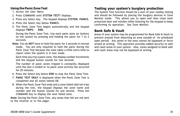## **Using the Panic Zone Test**

- 1. Access the User Menu.
- 2. Press COMMAND until **SYSTEM TEST?** displays.
- 3. Press any Select key. The keypad displays **SYSTEM PANICS.**
- 4. Press the Select key below **PANICS**.
- 5. The Panic Zone Test begins automatically and the keypad displays **TRIPS: END.**

During the Panic Zone Test, trip each panic zone (or button) on the system by pressing and holding the panic for 1 to 2 seconds.

**Note:** You do *NOT* have to hold the panic for 2 seconds in normal mode. You are only required to hold the panic during the Panic Zone Test because the zone takes a little extra time to report when the system is in test mode.

Each time you trip a panic zone, the display number increments and the keypad buzzer sounds for two seconds.

The number of panic zones tripped is constantly displayed until the test is ended or no panic zone activity has occurred for 20 minutes.

- 6. Press the Select key below **END** to stop the Panic Zone Test.
- 7. **PANIC TEST OKAY** is displayed when the Panic Zone Test is completed and all zones tested OK.
- 8. When the Panic Zone Test ends and a zone failed (did not trip) during the test, the keypad displays the zone name and number and the buzzer sounds for one second. Press the COMMAND key to display the next failed zone.

**Note:** During the Panic Zone Test, any zones that fail are not sent to the receiver or to the pager.

## **Testing your systemís burglary protection**

The System Test function should be a part of your weekly testing and should be followed by placing the burglary devices in Zone Monitor mode. This allows you to open and then close each protected door and window while listening for the keypad to beep confirming its operation. See Zone Monitor.

## **Bank Safe & Vault**

Areas of your system may be programmed for Bank Safe & Vault to prevent anyone from disarming an area outside of its scheduled open period. Any zones in the area cannot be bypassed or force armed at arming. This operation provides added security to safe and vault areas of your system. Also, zones assigned to bank safe and vault areas may not be bypassed at arming.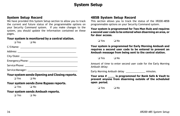## **System Setup**

## **System Setup Record**

We have provided this System Setup section to allow you to track the current and future status of the programmable options on your Security Command system. If you make changes to the system, you should update the information contained on these pages.

## **Your system is monitored by a central station.**

❏ Yes ❏ No

C/S Name: \_\_\_\_\_\_\_\_\_\_\_\_\_\_\_\_\_\_\_\_\_\_\_\_\_\_\_\_\_\_\_\_\_\_\_\_\_\_\_\_\_

Address: \_\_\_\_\_\_\_\_\_\_\_\_\_\_\_\_\_\_\_\_\_\_\_\_\_\_\_\_\_\_\_\_\_\_\_\_\_\_\_\_\_\_\_

City/State: \_\_\_\_\_\_\_\_\_\_\_\_\_\_\_\_\_\_\_\_\_\_\_\_\_\_\_\_\_\_\_\_\_\_\_\_\_\_\_\_\_\_

Emergency Phone: \_\_\_\_\_\_\_\_\_\_\_\_\_\_\_\_\_\_\_\_\_\_\_\_\_\_\_\_\_\_\_\_\_\_\_

Service Phone: \_\_\_\_\_\_\_\_\_\_\_\_\_\_\_\_\_\_\_\_\_\_\_\_\_\_\_\_\_\_\_\_\_\_\_\_\_\_

Service Manager: \_\_\_\_\_\_\_\_\_\_\_\_\_\_\_\_\_\_\_\_\_\_\_\_\_\_\_\_\_\_\_\_\_\_\_\_

**Your system sends Opening and Closing reports.**

❏ Yes ❏ No

**Your system sends Zone Bypass reports.**

❏ Yes ❏ No

## **Your system sends Ambush reports.**

❏ Yes ❏ No

## **485B System Setup Record**

This section allows you to track the status of the XR200-485B programmable options on your Security Command system.

**Your system is programmed for Two Man Rule and requires a second user code to be entered when disarming an area, or for door access.**

❏ Yes ❏ No

**Your system is programmed for Early Morning Ambush and requires a second user code to be entered to prevent an Ambush message from being sent to the central station.**

❏ Yes ❏ No

Amount of time to enter second user code for the Early Morning Ambush delay:

Early Morning Ambush delay **Early Morning** Ambush delay

**Your area # \_\_\_\_ is programmed for Bank Safe & Vault to prevent anyone from disarming outside of the scheduled open period.**

❏ Yes ❏ No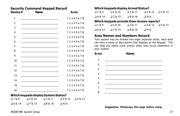### **Security Command Keypad Record Device # Name Area**

| 1              |                                                                            | 12345678 |
|----------------|----------------------------------------------------------------------------|----------|
| $\overline{2}$ | the control of the control of the control of the control of the control of | 12345678 |
| 3              |                                                                            | 12345678 |
| 4              |                                                                            | 12345678 |
| 5              |                                                                            | 12345678 |
| 6              |                                                                            | 12345678 |
| 7              |                                                                            | 12345678 |
| 8              |                                                                            | 12345678 |
| 9              |                                                                            | 12345678 |
| 10             |                                                                            | 12345678 |
| 11             |                                                                            | 12345678 |
| 12             |                                                                            | 12345678 |
| 13             |                                                                            | 12345678 |
| 14             |                                                                            | 12345678 |
| 15             |                                                                            | 12345678 |
| 16             |                                                                            | 12345678 |
|                |                                                                            |          |

### **Which keypads display System Status?**

| $\Box$ 1 & 9 | □ 2 & 10 | $\Box$ 3 & 11 | $\square$ 4&12 $\square$ 5&13 |  |
|--------------|----------|---------------|-------------------------------|--|
| □ 6 & 14     | □ 7 & 15 | □ 8 & 16      | $\Box$ N/A                    |  |

## **Which keypads display Armed Status?**

| $\Box 1 \& 9$ | □ 2 & 10                          | $\Box$ 3 & 11 | $\Box$ 4 & 12 $\Box$ 5 & 13 |  |
|---------------|-----------------------------------|---------------|-----------------------------|--|
|               | $\square$ 6 & 14 $\square$ 7 & 15 | □8 & 16       | $\Box$ N/A                  |  |

## **Which keypads provide Door Access reports?**

| $\Box$ 1 & 9 | $\Box$ 2 & 10 | $\Box$ 3 & 11 | $\square$ 4 & 12 $\square$ 5 & 13 |  |
|--------------|---------------|---------------|-----------------------------------|--|
| □ 6 & 14     | □ 7 & 15      | $\Box$ 8 & 16 | $\Box$ N/A                        |  |

## **Area Names and Numbers Record**

8

Your system may be divided into eight separate areas, each area can have a name or description that displays at the keypad. This can help you easily track events when they occur elsewhere in your system.

### **Area Name** 1  $\mathcal{L}_\text{max}$  and  $\mathcal{L}_\text{max}$  and  $\mathcal{L}_\text{max}$  and  $\mathcal{L}_\text{max}$  and  $\mathcal{L}_\text{max}$ 2 \_\_\_\_\_\_\_\_\_\_\_\_\_\_\_\_\_\_\_\_\_\_\_\_\_\_\_\_\_\_\_\_\_\_\_\_\_\_\_\_\_\_\_ 3  $\mathcal{L}_\text{max}$  and  $\mathcal{L}_\text{max}$  and  $\mathcal{L}_\text{max}$  and  $\mathcal{L}_\text{max}$  and  $\mathcal{L}_\text{max}$ 4 \_\_\_\_\_\_\_\_\_\_\_\_\_\_\_\_\_\_\_\_\_\_\_\_\_\_\_\_\_\_\_\_\_\_\_\_\_\_\_\_\_\_\_ 5  $\mathcal{L}_\text{max}$  and the contract of the contract of the contract of the contract of the contract of the contract of the contract of the contract of the contract of the contract of the contract of the contract of the contrac 6  $\frac{1}{2}$  ,  $\frac{1}{2}$  ,  $\frac{1}{2}$  ,  $\frac{1}{2}$  ,  $\frac{1}{2}$  ,  $\frac{1}{2}$  ,  $\frac{1}{2}$  ,  $\frac{1}{2}$  ,  $\frac{1}{2}$  ,  $\frac{1}{2}$  ,  $\frac{1}{2}$  ,  $\frac{1}{2}$  ,  $\frac{1}{2}$  ,  $\frac{1}{2}$  ,  $\frac{1}{2}$  ,  $\frac{1}{2}$  ,  $\frac{1}{2}$  ,  $\frac{1}{2}$  ,  $\frac{1$ 7 \_\_\_\_\_\_\_\_\_\_\_\_\_\_\_\_\_\_\_\_\_\_\_\_\_\_\_\_\_\_\_\_\_\_\_\_\_\_\_\_\_\_\_

**Suggestion: Photocopy this page before using.**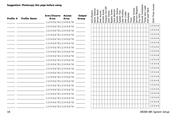|           | Suggestion: Photocopy this page before using.          |                    |                       |                        |            |                               |                            |                |             |              |                               |             |               |                         |      |                |                 |            | <b>Extend Schedules</b> | Temp User Code | Shift/Time Access |
|-----------|--------------------------------------------------------|--------------------|-----------------------|------------------------|------------|-------------------------------|----------------------------|----------------|-------------|--------------|-------------------------------|-------------|---------------|-------------------------|------|----------------|-----------------|------------|-------------------------|----------------|-------------------|
| Profile # | <b>Profile Name</b><br>1 2 3 4 5 6 7 8 1 2 3 4 5 6 7 8 | Arm/Disarm<br>Area | <b>Access</b><br>Area | <b>Output</b><br>Group | Arm/Disarm | Alarm Silence<br>Sensor Reset | Armed Areas<br>Door Access | Outputs On/Off | Zone Status | Bypass Zones | System Status<br>Zone Monitor | System Test | User Profiles | User Codes<br>Schedules | Time | Display Events | Service Request | Fire Drill |                         | Anti-pass Back |                   |
|           | 1234567812345678                                       |                    |                       |                        |            |                               |                            |                |             |              |                               |             |               |                         |      |                |                 |            |                         |                | 1234A             |
|           |                                                        |                    |                       |                        |            |                               |                            |                |             |              |                               |             |               |                         |      |                |                 |            |                         |                | 1234A             |
|           |                                                        |                    |                       |                        |            |                               |                            |                |             |              |                               |             |               |                         |      |                |                 |            |                         |                | 1234A             |
|           |                                                        |                    |                       |                        |            |                               |                            |                |             |              |                               |             |               |                         |      |                |                 |            |                         |                | 1234A             |
|           |                                                        |                    |                       |                        |            |                               |                            |                |             |              |                               |             |               |                         |      |                |                 |            |                         |                | 1234A             |
|           |                                                        |                    |                       |                        |            |                               |                            |                |             |              |                               |             |               |                         |      |                |                 |            |                         |                | 1234A             |
|           |                                                        |                    |                       |                        |            |                               |                            |                |             |              |                               |             |               |                         |      |                |                 |            |                         |                | 1234A             |
|           |                                                        |                    |                       |                        |            |                               |                            |                |             |              |                               |             |               |                         |      |                |                 |            |                         |                | 1234A             |
|           |                                                        |                    |                       |                        |            |                               |                            |                |             |              |                               |             |               |                         |      |                |                 |            |                         |                | 1234A             |
|           |                                                        |                    |                       |                        |            |                               |                            |                |             |              |                               |             |               |                         |      |                |                 |            |                         |                | 1234A             |
|           |                                                        |                    |                       |                        |            |                               |                            |                |             |              |                               |             |               |                         |      |                |                 |            |                         |                | 1234A             |
|           |                                                        |                    |                       |                        |            |                               |                            |                |             |              |                               |             |               |                         |      |                |                 |            |                         |                | 1234A             |
|           |                                                        |                    |                       |                        |            |                               |                            |                |             |              |                               |             |               |                         |      |                |                 |            |                         |                | 1234A             |
|           |                                                        |                    |                       |                        |            |                               |                            |                |             |              |                               |             |               |                         |      |                |                 |            |                         |                | 1234A             |
|           |                                                        |                    |                       |                        |            |                               |                            |                |             |              |                               |             |               |                         |      |                |                 |            |                         |                | 1234A             |
|           |                                                        |                    |                       |                        |            |                               |                            |                |             |              |                               |             |               |                         |      |                |                 |            |                         |                | 1234A             |
|           |                                                        |                    |                       |                        |            |                               |                            |                |             |              |                               |             |               |                         |      |                |                 |            |                         |                | 1234A             |
|           |                                                        |                    |                       |                        |            |                               |                            |                |             |              |                               |             |               |                         |      |                |                 |            |                         |                | 1234A             |
|           |                                                        |                    |                       |                        |            |                               |                            |                |             |              |                               |             |               |                         |      |                |                 |            |                         |                | 1234A             |
|           |                                                        |                    |                       |                        |            |                               |                            |                |             |              |                               |             |               |                         |      |                |                 |            |                         |                | 1234A             |
|           |                                                        | 1234567812345678   |                       |                        |            |                               |                            |                |             |              |                               |             |               |                         |      |                |                 |            |                         |                |                   |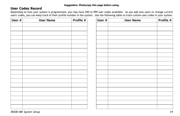## **User Codes Record**

Depending on how your system is programmed, you may have 200 to 999 user codes available. As you add new users or change current users' codes, you can keep track of their profile number in the system. Use the following table to track custom user codes in your system.

| User # | <b>User Name</b> | Profile # | User # | <b>User Name</b> | Profile # |
|--------|------------------|-----------|--------|------------------|-----------|
|        |                  |           |        |                  |           |
|        |                  |           |        |                  |           |
|        |                  |           |        |                  |           |
|        |                  |           |        |                  |           |
|        |                  |           |        |                  |           |
|        |                  |           |        |                  |           |
|        |                  |           |        |                  |           |
|        |                  |           |        |                  |           |
|        |                  |           |        |                  |           |
|        |                  |           |        |                  |           |
|        |                  |           |        |                  |           |
|        |                  |           |        |                  |           |
|        |                  |           |        |                  |           |
|        |                  |           |        |                  |           |
|        |                  |           |        |                  |           |
|        |                  |           |        |                  |           |
|        |                  |           |        |                  |           |
|        |                  |           |        |                  |           |
|        |                  |           |        |                  |           |
|        |                  |           |        |                  |           |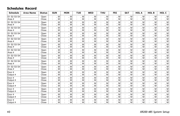## **Schedules Record**

| <b>Schedule</b>       | <b>Area Name</b> | <b>Status</b> | <b>SUN</b>                 | <b>MON</b>                                                     | <b>TUE</b>                                                     | <b>WED</b>                                   | <b>THU</b>                              | <b>FRI</b>            | <b>SAT</b>            | <b>HOL A</b>          | <b>HOL B</b>            | HOL C                     |
|-----------------------|------------------|---------------|----------------------------|----------------------------------------------------------------|----------------------------------------------------------------|----------------------------------------------|-----------------------------------------|-----------------------|-----------------------|-----------------------|-------------------------|---------------------------|
| S1 S2 S3 S4<br>Area # |                  | Open<br>Close | $\_ M$<br>$\_ M$           | M<br>$\_ M$                                                    | $\_ M$<br>$\_ M$                                               | M<br>$\_ M$                                  | M<br>M                                  | $\_ M$<br>$\_ M$      | M<br>$\_ M$           | $\_ M$<br>$\_ M$      | $\_ M$<br>$\_$ M        | $\_$ M $\_$<br>$\_ M$     |
| S1 S2 S3 S4<br>Area # |                  | Open<br>Close | $\_ M$<br>$\_ M$           | $\_$ M $\,$<br>$\_ M$                                          | $\_$ M $\,$<br>$\_ M$                                          | $\_$ M $\hspace{0.1mm}$<br>$\_$ M $\,$       | $\_$ M<br>$\_ M$                        | $\_ M$<br>$\_ M$      | $\_$ M $\_$<br>$\_ M$ | $\_ M$<br>$\_ M$      | $\_$ M $\,$<br>$\_ M$   | $\_ M$<br>$\_ M$          |
| S1 S2 S3 S4<br>Area # |                  | Open<br>Close | $\_ M$<br>$\_ M$           | $\_ M$<br>$\_ M$                                               | $\_ M$<br>$\_ M$                                               | $\_ M$<br>$\_ M$                             | M<br>M                                  | $\_ M$<br>$\_ M$      | M<br>$\_$ M           | $\_ M$<br>$\_ M$      | $\_ M$<br>$\_$ M        | $\_ M$<br>$\_ M$          |
| S1 S2 S3 S4<br>Area # |                  | Open<br>Close | $\_$ M $\,$<br>$\_ M$      | M<br>$\overline{\phantom{0}}$<br>$\_ M$                        | $\_ M$<br>$\_ M$                                               | $\_$ M $\_$<br>$\_$ M $\,$                   | M<br>$\overline{\phantom{0}}$<br>$\_ M$ | M<br>$\_ M$           | M<br>$\_ M$           | $\_ M$<br>$\_$ M $\,$ | $\_$ M $\,$<br>$\_ M$   | $\_ M$<br>$\_ M$          |
| S1 S2 S3 S4<br>Area # |                  | Open<br>Close | $\_ M$<br>$\_ M$           | M<br>$\overline{\phantom{a}}$<br>M                             | $\_ M$<br>M                                                    | M<br>$\_ M$                                  | M<br>M                                  | M<br>$\_ M$           | M<br>$\_ M$           | $\_ M$<br>$\_ M$      | $\_ M$<br>$\_$ M        | $-M$<br>$\_M$             |
| S1 S2 S3 S4<br>Area # |                  | Open<br>Close | $\_$ M $\,$<br>$\_ M$      | M<br>$\overline{\phantom{m}}$<br>$\_ M$                        | $\_$ M $\,$<br>$\_$ M                                          | M<br>$\overline{\phantom{0}}$<br>$\_ M$      | M<br>$\overline{\phantom{0}}$<br>M<br>- | $\_ M$<br>$\_$ M      | M<br>-<br>$\_ M$      | $\_ M$<br>$\_$ M      | $\_$ M $\,$<br>$\_ M$   | $-\overline{M}$<br>$\_ M$ |
| S1 S2 S3 S4<br>Area # |                  | Open<br>Close | $\_ M$<br>$\_ M$           | M<br>M                                                         | $\_ M$<br>M                                                    | M<br>$\_$ M                                  | M<br>M                                  | M<br>$\_$ M           | M<br>M                | $\_ M$<br>$\_$ M      | M<br>$\_$ M             | $\_ M$<br>$\_M$           |
| S1 S2 S3 S4<br>Area # |                  | Open<br>Close | $\_ M$<br>$\_ M$           | M<br>$\overline{\phantom{0}}$<br>$\_ M$                        | M<br>$\_$ M $\,$                                               | M<br>$\overline{\phantom{0}}$<br>$\_$ M $\,$ | M<br>M<br>-                             | M<br>$\_ M$           | M<br>$\_$ M $\_$      | $\_ M$<br>$\_ M$      | $\_$ M $\,$<br>$\_$ M   | $\_$ M $\_$<br>$\_M$      |
| S1 S2 S3 S4<br>Area # |                  | Open<br>Close | $\_ M$<br>$\_ M$           | M<br>$\overline{\phantom{0}}$<br>$\_ M$                        | $\_ M$<br>$\_ M$                                               | $\_ M$<br>$\_ M$                             | M<br>M                                  | $\_ M$<br>$\_ M$      | $\_ M$<br>M           | $\_ M$<br>$\_ M$      | $\_ M$<br>$\_ M$        | $\_ M$<br>$\_M$           |
| S1 S2 S3 S4<br>Area # |                  | Open<br>Close | $\_$ M $\,$<br>$\_$ M $\_$ | M<br>M<br>$\overline{\phantom{0}}$                             | $\_ M$<br>M<br>$\overline{\phantom{0}}$                        | $\_ M$<br>$\_$ M $\_$                        | M<br>M<br>$\overline{\phantom{0}}$      | $\_ M$<br>$\_$ M $\,$ | M<br>M<br>-           | $\_ M$<br>$\_ M$      | $\_ M$<br>$-M$          | $-M$<br>$\_M$             |
| Door #<br>Output #    |                  | Open<br>Close | $\_ M$<br>$\_ M$           | M<br>÷.<br>M<br>$-$                                            | $\_ M$<br>$\_ M$                                               | $\_ M$<br>$\_$ M $\,$                        | M<br>M                                  | M<br>$\_ M$           | M<br>$\_ M$           | $\_ M$<br>$\_ M$      | $\_ M$<br>$\_ M$        | $\_ M$<br>$\_M$           |
| Door #<br>Output #    |                  | Open<br>Close | $\_ M$<br>$\_$ M $\_$      | M<br>$\overline{\phantom{0}}$<br>M<br>$\overline{\phantom{0}}$ | M<br>$\overline{\phantom{0}}$<br>M<br>$\overline{\phantom{0}}$ | $\_ M$<br>$\_ M$                             | M<br>M                                  | M<br>$\_$ M $\,$      | M<br>M                | $\_ M$<br>$\_$ M $\,$ | $\_ M$<br>$\_ M$        | $\_ M$<br>$\_M$           |
| Door #<br>Output #    |                  | Open<br>Close | $\_ M$<br>$\_ M$           | M<br>$\overline{\phantom{0}}$<br>$\_ M$                        | $\_ M$<br>$\_ M$                                               | $\_ M$<br>$\_ M$                             | M<br>$\_ M$                             | $\_ M$<br>$\_ M$      | M<br>$\_ M$           | $\_ M$<br>$\_ M$      | $\_$ M $\,$<br>$\_ M$   | $\_$ M $\_$<br>$\_ M$     |
| Door #<br>Output #    |                  | Open<br>Close | $\_ M$<br>$\_M$            | M<br>$\_ M$                                                    | $\_ M$<br>$\_ M$                                               | M<br>$\_ M$                                  | M<br>$\_$ M $\,$                        | M<br>$\_$ M $\,$      | M<br>$\_ M$           | $\_ M$<br>$\_$ M $\,$ | M<br>$=$ M <sub>1</sub> | $-M$<br>$\_ M$            |
| Door #<br>Output #    |                  | Open<br>Close | $\_ M$<br>$\_$ M $\,$      | M<br>$\overline{\phantom{0}}$<br>$\_ M$                        | $\_ M$<br>$\_ M$                                               | $\_ M$<br>$\_ M$                             | M<br>$\_$ M $\,$                        | $\_ M$<br>$\_ M$      | $\_ M$<br>$\_ M$      | $\_ M$<br>$\_ M$      | $\_ M$<br>$\_ M$        | $\_$ M $\_$<br>$\_ M$     |
| Door #<br>Output #    |                  | Open<br>Close | $\_ M$<br>M                | M<br>-<br>M                                                    | $\_ M$<br>M                                                    | $\_ M$<br>M                                  | M<br>Μ                                  | $\_ M$<br>M           | M<br>M                | $\_ M$<br>M           | $\_ M$<br>M             | $\_ M$<br>$\_ M$          |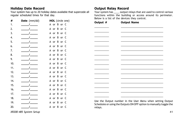## **Holiday Date Record**

Your system has up to 20 holiday dates available that supercede all regular scheduled times for that day.

| #   | <b>Date</b> (mm/dd) | <b>HOL</b> (circle one) |                         |
|-----|---------------------|-------------------------|-------------------------|
| 1.  |                     | A or B or C             | Output #                |
| 2.  |                     | A or B or C             |                         |
| 3.  |                     | A or B or C             |                         |
| 4.  |                     | A or B or C             |                         |
| 5.  |                     | A or B or C             |                         |
| 6.  |                     | A or B or C             |                         |
| 7.  |                     | A or B or C             |                         |
| 8.  |                     | A or B or C             |                         |
| 9.  |                     | A or B or C             |                         |
| 10. |                     | A or B or C             |                         |
| 11. |                     | A or B or C             |                         |
| 12. |                     | A or B or C             |                         |
| 13. |                     | A or B or C             |                         |
| 14. |                     | A or B or C             |                         |
| 15. |                     | A or B or C             |                         |
| 16. |                     | A or B or C             |                         |
| 17. |                     | A or B or C             |                         |
| 18. |                     | A or B or C             |                         |
| 19. |                     | A or B or C             | Use the Ou              |
| 20. |                     | A or B or C             | Schedules or<br>relays. |
|     |                     |                         |                         |

\_\_\_\_\_\_\_\_\_\_\_ \_\_\_\_\_\_\_\_\_\_\_\_\_\_\_\_\_\_\_\_\_\_\_\_\_\_\_\_\_\_\_\_ \_\_\_\_\_\_\_\_\_\_\_ \_\_\_\_\_\_\_\_\_\_\_\_\_\_\_\_\_\_\_\_\_\_\_\_\_\_\_\_\_\_\_\_ \_\_\_\_\_\_\_\_\_\_\_ \_\_\_\_\_\_\_\_\_\_\_\_\_\_\_\_\_\_\_\_\_\_\_\_\_\_\_\_\_\_\_\_ \_\_\_\_\_\_\_\_\_\_\_ \_\_\_\_\_\_\_\_\_\_\_\_\_\_\_\_\_\_\_\_\_\_\_\_\_\_\_\_\_\_\_\_ \_\_\_\_\_\_\_\_\_\_\_ \_\_\_\_\_\_\_\_\_\_\_\_\_\_\_\_\_\_\_\_\_\_\_\_\_\_\_\_\_\_\_\_ \_\_\_\_\_\_\_\_\_\_\_ \_\_\_\_\_\_\_\_\_\_\_\_\_\_\_\_\_\_\_\_\_\_\_\_\_\_\_\_\_\_\_\_ \_\_\_\_\_\_\_\_\_\_\_ \_\_\_\_\_\_\_\_\_\_\_\_\_\_\_\_\_\_\_\_\_\_\_\_\_\_\_\_\_\_\_\_

tput number in the User Menu when setting Output r using the Outputs ON OFF option to manually toggle the

*XR200-485 System Setup* 41

## **Output Relay Record**

Your system has \_\_\_\_ output relays that are used to control various functions within the building or access around its perimeter. Below is a list of the devices they control.

**Output Name**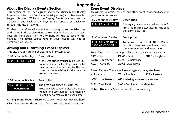## **About the Display Events Section**

This section of the user's guide shows the User's Guide Display Events items for both 16-character (single line) and 32-character keypad displays. While in the Display Events function, use the COMMAND and Back Arrow keys to go forward or backward through the list of events.

To view more information about each display, press the Select key as directed in the explanations below. Remember that the Select keys are numbered from left to right for the purpose of this manual. The actual Select keys on your keypad will not be numbered or labeled.

## **Arming and Disarming Event Displays**

This displays any arming or disarming of system areas.

**16-Character Display Description**

**ARM 3 12 1017** Area 3 was armed by user 12 on Oct. 17. Press the second Select key, under 3, for the area name, the third key for the user name, or the fourth key for the time the arming occurred.

### **32-Character Display Description**

**ARM 5:10P 10/ 17** The area was armed at 5:10 PM.

 **WAREHOUSE** Press any Select key to display the area number and user number, and then any Select key to display the user name.

**Arming Event Types** - There are 2 event type you may see here: **ARM** - User armed the system **DIS** - User disarmed the system

## **Appendix A**

## **Zone Event Displays**

This displays alarms, troubles, and other events that could occur on your protection zones.

**16-Character Display Description**

**2 BURG ALR 1017** A burglary alarm occurred on zone 2. Press the fourth Select key for the time the alarm occurred.

## **32-Character Display Description**

**ALR 10: 23P 10/17** An alarm occurred at 10:23 PM on **BASEMENT DOOR** Oct. 17. Press any Select key to see the zone number and zone type.

**Zone Type** - There are 7 possible zone types you may see here.

| <b>FIRE</b> Fire        | <b>PANC</b> Panic         | <b>BURG</b> - Burglary |
|-------------------------|---------------------------|------------------------|
| <b>EMRG</b> - Emergency | <b>SUPV</b> - Supervisory |                        |
| AUX1 - Auxiliary 1      | AUX2 - Auxiliary 2        |                        |

| <b>Event Types</b> - There are 7 event type you may see here: |                                                             |                      |  |  |  |  |  |
|---------------------------------------------------------------|-------------------------------------------------------------|----------------------|--|--|--|--|--|
| <b>ALR</b> - Alarm                                            | <b>TBL</b> Trouble                                          | <b>RST</b> - Restore |  |  |  |  |  |
|                                                               | <b>LOW</b> - Low battery MIS - Missing wireless transmitter |                      |  |  |  |  |  |
| SVC - Service smoke detector<br><b>FLT</b> - Zone Fault       |                                                             |                      |  |  |  |  |  |
| Note: LOW and MIS are for wireless systems only.              |                                                             |                      |  |  |  |  |  |

## 42 *XR200-485 Appendix A*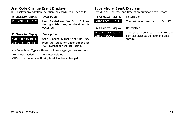## **User Code Change Event Displays**

This displays any addition, deletion, or change to a user code.

## **16-Character Display Description**

**12 ADD 19 1017** User 12 added user 19 on Oct. 17. Press the *right* Select key for the time this occurred.

# **32-Character Display Description**

**ADD 11: 41A 10 /17** User 19 added by user 12 at 11:41 AM. **US:19 BY US:12** Press the Select key under either user (US:) number for the user name.

**User Code Event Types** - There are 3 event type you may see here:

**ADD** - User added **DEL** - User deleted

**CHG** - User code or authority level has been changed.

## **Supervisory Event Displays**

This displays the date and time of an automatic test report.

## **16-Character Display Description**

**AUTO RECALL 1017** The test report was sent on Oct. 17.

**32-Character Display Description**



**MSG 11: 58P 10 / 17** The test report was sent to the **AUTO RECALL** central station at the date and time shown.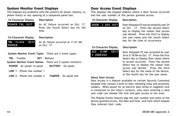## **System Monitor Event Displays**

This displays any problems with the system's AC power, battery, or phone line(s) or any opening of a tampered panel box.

| 16-Character Display  |  |  |
|-----------------------|--|--|
| <b>POWER TBL 1017</b> |  |  |

### **16-Character Display Description**

An AC failure occurred on Oct. 17. Press the fourth Select key for the time.

### **32-Character Display Description**

**POWER** on Oct. 17.

**TBL 11:41A 10/17** An AC failure occurred at 11:41 AM

**System Monitor Event Types** - There are 2 event types:

**TBL** - Trouble **RST** - Restore

- **System Monitor Event Names** There are 5 system monitors:
- **POWER** AC power to panel **BATTERY** On panel

**LINE 1** - Phone line number 1

**LINE 2** - Phone line number 2 **TAMPER** - On panel box

## **Door Access Event Displays**

This displays the keypad address where a Door Access occurred and the user number of the person granted access.

### **16-Character Display Description**

**DOOR 3 024 1017** Door (keypad) #3 was accessed by user 24 on Oct. 17. Press the second Select key to display the reason that access was denied. Press the third to display the user name and the fourth Select key for the time of occurrence.

## **32-Character Display Description**

**ACC 5:18P 10/17 3 USER:024**

Door (keypad) #3 was accessed by user 24 at 5:18 PM on Oct. 17. Press the first Select key to display Door name where to access occurred. Press the second Select key to display the reason that access was denied. Press the third Select key for the name of the device, or the fourth key for the user name.

### **About Door Access**

Door Access is a feature available on certain Security Command keypads that contain a built-in door releasing relay and proximity readers. When power for an electric door strike or magnetic lock is connected to the relay's contacts, only users entering a valid user code can release the lock and gain access to the area.

The Display Events feature logs the user number and name of the person granted access, the date and time, and from which keypad they entered their code.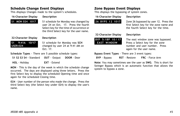## **Schedule Change Event Displays**

This displays Changes made to the system's schedules.

## **16-Character Display Description**

**S1 MON 024 1017** S1 schedule for Monday was changed by user 24 on Oct. 17. Press the fourth Select key for the time of occurrence or the third Select key for the user name.

## **32-Character Display Description**

**S1** 9:41A 10/17 S1 schedule for Monday was SCH **USER:024** changed by user 24 at 9:41 AM on Oct. 17.

**Schedule Types** - There are 5 possible schedule types:

| S1 S2 S3 S4 - Standard  OUT - Output  DOOR - Door |  |  |
|---------------------------------------------------|--|--|
|---------------------------------------------------|--|--|

**HOL** - Holiday **EXT** - Extend

**MON** - This is the day of the week in which the schedule change occurred. The days are displayed using three letters. Press the first Select key to display the scheduled Opening time and once again for the scheduled Closing time.

**024** - User number of the person who made the change. Press the third Select key (the Select key under 024) to display the user's name.

## **Zone Bypass Event Displays**

This displays the bypassing of system zones.

## **16-Character Display Description**

**26 BYPS 12 1017** Zone 26 bypassed by user 12. Press the first Select key for the zone name and the fourth Select key for the time.

## **32-Character Display Description**

**BYP 5:18P 10/17** The east window zone was bypassed. **EAST WINDOW** Press a Select key for the zone number and user number. Press again for the user name.

**Bypass Event Types** - There are 3 event types:

**BYP** - Bypass **RST** - Restore **FRC** - Force Arm

**Note:** You may sometimes see the user as **SWG**. This is short for Swinger Bypass which is an automatic function that allows the system to bypass a zone.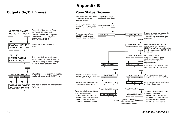## **Outputs On/Off Browser**

## **Appendix B**

## **Zone Status Browser**

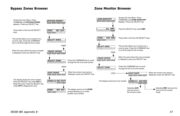## **Bypass Zones Browser Zone Monitor Browser**

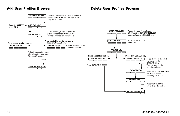## **Add User Profiles Browser Delete User Profiles Browser**

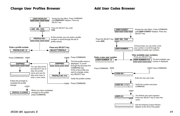## **Change User Profiles Browser Add User Codes Browser**

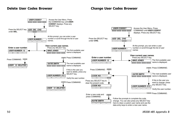## **Delete User Codes Browser Change User Codes Browser**



### 50 *XR200-485 Appendix B*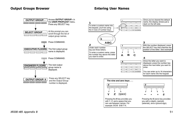## **Output Groups Browser Entering User Names**

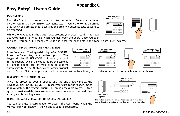## **Appendix C**

## **Easy Entry™ User's Guide**

## **DOOR STRIKE**

From the Status List, present your card to the reader. Once it is validated by the system, the Door Strike relay activates. If you are entering an armed area which you are assigned, accessing the area will automatically cause it to be disarmed.



While the keypad is in the Status List, present your access card. The relay activates momentarily during which you must open the door. Once you open

the door, you have 30 seconds to exit and close the door before the zone 2 Soft-Shunt expires.

### **ARMING AND DISARMING AN AREA SYSTEM**

Press Command. The keypad displays **ARM DISARM**. Press the Select key under either option. The keypad displays **ENTER CODE: -**. Present your card to the reader. Once it is validated by the system, all areas accessible by you arm or disarm automatically. Select **NO** to arm or disarm individual



areas. Select **YES**, or simply wait, and the keypad will automatically arm or disarm all areas for which you are authorized.

## **DISARMING WITH ENTRY DELAY**

Once the protected door is opened and the entry delay starts, the keypad displays **ENTER CODE: -**. Present your card to the reader. Once it is validated, the system disarms all areas accessible by you. Area systems provide a delay to allow selected areas only to be disarmed. See Arming and Disarming above.

## **USING THE ACCESS READER FOR USER MENU ACCESS**

You can also use a card reader to access the User Menu when the **MENU? NO YES** display is shown and a code is requested.

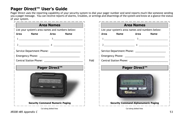## **Pager Direct™ User's Guide**

Pager Direct uses the reporting capability of your security system to dial your pager number and send reports much like someone sending you a pager message. You can receive reports of alarms, troubles, or armings and disarmings of the system and know at a glance the status of your system.

| <b>Area Names</b>                                                                                                      |      |  | <b>Area Names</b>                                  |                        |      |
|------------------------------------------------------------------------------------------------------------------------|------|--|----------------------------------------------------|------------------------|------|
| List your system's area names and numbers below:                                                                       |      |  | List your system's area names and numbers below:   |                        |      |
| Name<br>Area<br><b>Example 2</b>                                                                                       | Name |  | Area Name Area                                     |                        | Name |
|                                                                                                                        |      |  | $1 \hspace{2.5cm} 3 \hspace{2.5cm}$                |                        |      |
| <u> 2008 - Paris Paris III de la Paris de la Paris Paris II de la Paris Paris II de la Paris III de la Paris III d</u> |      |  | $2$ $4$ $-$                                        |                        |      |
| Service Department Phone: ________________________                                                                     |      |  | Service Department Phone: ________________________ |                        |      |
|                                                                                                                        |      |  |                                                    |                        |      |
|                                                                                                                        | Fold |  |                                                    |                        |      |
| <b>Pager Direct™</b>                                                                                                   |      |  |                                                    | Pager Direct™          |      |
|                                                                                                                        |      |  |                                                    |                        |      |
| <b>Security Command Numeric Paging</b>                                                                                 |      |  | <b>Security Command Alphanumeric Paging</b>        |                        |      |
| Cut along dotted lines                                                                                                 |      |  |                                                    | Cut along dotted lines |      |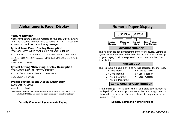## **Alphanumeric Pager Display Numeric Pager Display**

### **Account Number**

Whenever the system sends a message to your pager, it will always send the account number first to identify itself. After the account, you will see the following messages:

## **Typical Zone Event Display Description**

20002 001 NORTHWEST DOORS BURG \*ALARM\* SHIPPING

Account Zone Zone Name Zone Type Event Area Name

Zone Types - BURG, FIRE, SUPV (Supervisory), PANC (Panic), EMRG (Emergency), AUX1, or AUX2

Events - ALARM or TROUBLE

## **Typical Arming/Disarming Display Description**

20002 ARMED 0016 01 EAST WAREHOUSE

Account Event User # Area # Area Name

Events - ARMED or DISARMED

## **Typical System Event Display Description**

20002 LATE TO CLOSE

Account Event

Events - LATE TO CLOSE (The system was not armed at its scheduled closing time) ALARM CANCELLED (An alarm has been cancelled by an authorized user)

### **Security Command Alphanumeric Paging Security Command Numeric Paging**





This number has been programmed into your Security Command system as an identifier. Whenever the system sends a message to your pager, it will always send the account number first to identify itself.

### **Message ID**

This is always a single digit, 1 to 7, that describes the message.

- **1** = Zone Alarm **5** = Late to Close
- **2** = Zone Trouble **6** = User Check-in
- **3** = Area(s) Arming **7** = Local Message
- **4** = Area(s) Disarming

## **Zone, Area, or User Number**

If this message is for a zone, the 1- to 3-digit zone number is displayed. If this message is for areas that are being armed or disarmed, the area numbers are shown in sequential order. Example: 1 2 4.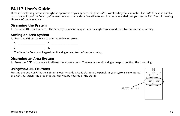## **FA113 User's Guide**

These instructions guide you through the operation of your system using the FA113 Wireless Keychain Remote. The FA113 uses the audible output capability of the Security Command keypad to sound confirmation tones. It is recommended that you use the FA113 within hearing distance of these keypads.

## **Disarming the System**

1. Press the **OFF** button once. The Security Command keypads emit a single two second beep to confirm the disarming.

## **Arming an Area System**

1. Press the **ON** button once to arm the following areas:

 $1.$   $2.$ 3. \_\_\_\_\_\_\_\_\_\_\_\_\_\_\_\_\_\_\_ 4. \_\_\_\_\_\_\_\_\_\_\_\_\_\_\_\_\_\_\_

The Security Command keypads emit a single beep to confirm the arming.

## **Disarming an Area System**

1. Press the **OFF** button once to disarm the above areas. The keypads emit a single beep to confirm the disarming.

## **Using the ALERT Buttons**

Pressing the two **ALERT** buttons simultaneously sends a Panic alarm to the panel. If your system is monitored by a central station, the proper authorities will be notified of the alarm.

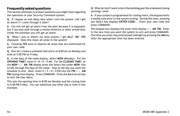## **Frequently asked questions**

This section attempts to answer questions you might have regarding the operation of your Security Command system.

**Q**. If I bypass an exit delay door when I arm the system, will I get an alarm if I come through it later?

**A**. You will not get an alarm from the door because it is bypassed, but if you also walk through a motion detector or other armed door inside the premises you will get an alarm.

**Q**. When I arm or disarm my Area system, I get **ALL? NO YES** displayed. Does this mean all areas in the system?

**A**. Choosing **YES** arms or disarms all areas that are authorized for your user code.

**Q**. How do I create a schedule that starts at 8:00 am on Monday and ends at 5:00 PM on Friday.

**A**. In the days of the week display, select **MON** (Monday). For the **OPENING TIME?**, enter 0 + 8 + 0 + 0 AM. For the **CLOSING TIME?**, at the  $MON -$ : AM PM display press the Select key under  $MON$ ; this scrolls through the days of the week. Stop at the day you want the schedule to end. Next, enter  $0 + 5 + 0 + 0$  PM into the FRI  $-$ : AM **PM** closing time display. Press COMMAND. Press the Back Arrow key to exit the User Menu.

This sets the opening time to 8:00 am Monday and the closing time to 5:00 PM Friday. You can substitute any other day or time in this example.

**Q**. What do I do if I want to be in the building past the scheduled closing (arming) time?

**A**. If your system is programmed for closing check, the keypad emits a steady tone prior to the system arming. During this tone, pressing any Select key displays **ENTER CODE:** . Enter your user code and press COMMAND.

The keypad now displays the enter time display  $-$  : AM PM. Enter in the new time you want the system to arm and press COMMAND. The time you enter may extend past midnight by pressing the **AM** key after the appropriate time has been entered.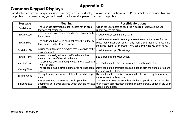## **Appendix D**

## **Common Keypad Displays**

Listed below are several keypad messages you may see on the display. Follow the instructions in the Possible Solutions column to correct the problem. In many cases, you will need to call a service person to correct the problem.

| <b>Message</b>         | <b>Meaning</b>                                                                            | <b>Possible Solutions</b>                                                                                                                                                                                          |
|------------------------|-------------------------------------------------------------------------------------------|--------------------------------------------------------------------------------------------------------------------------------------------------------------------------------------------------------------------|
| Invalid Area           | The user has attempted a door access for an area                                          | Assign the user acces to this area if desired; otherwise the user                                                                                                                                                  |
|                        | they are not assigned.                                                                    | cannot access the area.                                                                                                                                                                                            |
| <b>Invalid Code</b>    | The user code you have entered is not recognized by<br>the system.                        | Check the user code and try again.                                                                                                                                                                                 |
| <b>Invalid Level</b>   | The code you have used does not have the authority<br>level to access the desired option. | Check the user level to see is you have the correct level set for the<br>code. Remember that you can only grant a user authority if you have<br>the same authority or greater: You can't give what you don't have. |
| <b>Invalid Profile</b> | A user has attempted a function that is outside of the<br>assigned profile.               | Check the user's profile settings.                                                                                                                                                                                 |
| Invalid Time           | A user code assigned to a specific schedule has<br>entered outside of the valid schedule. | See Schedules and User Codes.                                                                                                                                                                                      |
| Enter 2nd Code         | The area you are attempting to disarm or access is a<br>Two Man area.                     | A second and different user must enter a valid user code.                                                                                                                                                          |
| Closing Time           | The schedule has expired but the area has not been<br>larmed.                             | Users still on the premises are reminded to arm the system or extend<br>the schedule to a later time.                                                                                                              |
| Late to Close          | The system was not armed at its scheduled closing<br>time.                                | Users still on the premises are reminded to arm the system or extend<br>the schedule to a later time.                                                                                                              |
|                        | A user assigned the anti-pass back option has                                             | The user must exit the area through the proper door. If not possible,                                                                                                                                              |
| Failed to Exit         | attempted to re-enter an area which they did not exit                                     | your system administrator should select the Forgive option in the User                                                                                                                                             |
|                        | properly.                                                                                 | Codes menu option.                                                                                                                                                                                                 |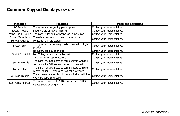## **Common Keypad Displays** Continued

| <b>Message</b>          | Meaning                                             | <b>Possible Solutions</b>    |  |  |
|-------------------------|-----------------------------------------------------|------------------------------|--|--|
| <b>AC Trouble</b>       | The system is not getting proper power.             | Contact your representative. |  |  |
| <b>Battery Trouble</b>  | Battery is either low or missing.                   | Contact your representative. |  |  |
| Phone Line 1 Trouble    | The panel is looking for phone jack supervision.    | Contact your representative. |  |  |
| System Trouble or       | There is a problem with one or more of the          | Contact your representative. |  |  |
| Service Required        | components in the system.                           |                              |  |  |
| System Busy             | The system is performing another task with a higher | Contact your representative. |  |  |
|                         | priority.                                           |                              |  |  |
|                         | No supervised device on bus                         | Contact your representative. |  |  |
| 4-Wire Bus Trouble      | Low Voltage or an open yellow wire                  | Contact your representative. |  |  |
|                         | Two devices on same address                         | Contact your representative. |  |  |
| <b>Transmit Trouble</b> | The panel has attempted to communicate with the     | Contact your representative. |  |  |
|                         | central station 3 times and has not succeeded.      |                              |  |  |
| <b>Transmit Fail</b>    | The panel has attempted to communicate with the     | Contact your representative. |  |  |
|                         | central station 10 times and has not succeeded.     |                              |  |  |
| <b>Wireless Trouble</b> | The wireless receiver is not communicating with the | Contact your representative. |  |  |
|                         | 472 Hard-Wire-Less Card.                            |                              |  |  |
| Non-Polled Address      | The device is not set to STD (standard) or FIRE in  |                              |  |  |
|                         | Device Setup of programming.                        | Contact your representative. |  |  |